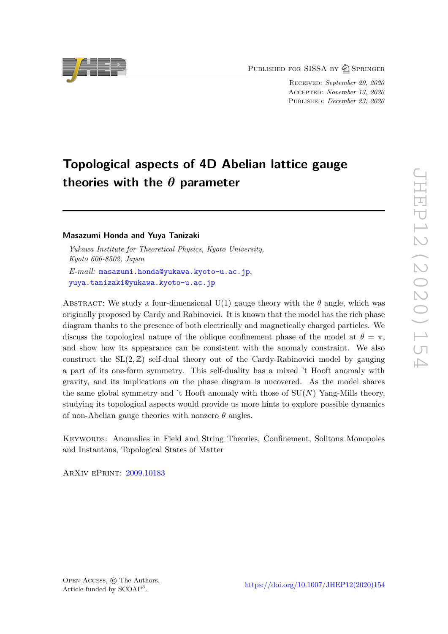PUBLISHED FOR SISSA BY 2 SPRINGER

Received: *September 29, 2020* Accepted: *November 13, 2020* Published: *December 23, 2020*

# **Topological aspects of 4D Abelian lattice gauge theories with the** *θ* **parameter**

# **Masazumi Honda and Yuya Tanizaki**

*Yukawa Institute for Theoretical Physics, Kyoto University, Kyoto 606-8502, Japan E-mail:* [masazumi.honda@yukawa.kyoto-u.ac.jp](mailto:masazumi.honda@yukawa.kyoto-u.ac.jp), [yuya.tanizaki@yukawa.kyoto-u.ac.jp](mailto:yuya.tanizaki@yukawa.kyoto-u.ac.jp)

ABSTRACT: We study a four-dimensional U(1) gauge theory with the  $\theta$  angle, which was originally proposed by Cardy and Rabinovici. It is known that the model has the rich phase diagram thanks to the presence of both electrically and magnetically charged particles. We discuss the topological nature of the oblique confinement phase of the model at  $\theta = \pi$ , and show how its appearance can be consistent with the anomaly constraint. We also construct the  $SL(2, \mathbb{Z})$  self-dual theory out of the Cardy-Rabinovici model by gauging a part of its one-form symmetry. This self-duality has a mixed 't Hooft anomaly with gravity, and its implications on the phase diagram is uncovered. As the model shares the same global symmetry and 't Hooft anomaly with those of SU(*N*) Yang-Mills theory, studying its topological aspects would provide us more hints to explore possible dynamics of non-Abelian gauge theories with nonzero *θ* angles.

Keywords: Anomalies in Field and String Theories, Confinement, Solitons Monopoles and Instantons, Topological States of Matter

ArXiv ePrint: [2009.10183](https://arxiv.org/abs/2009.10183)

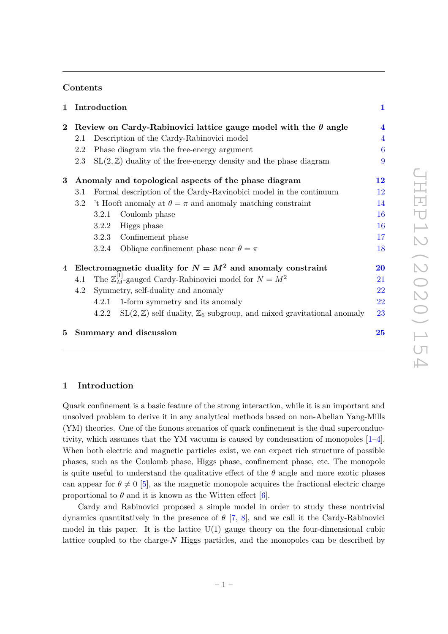# **Contents**

| $\mathbf 1$ | Introduction                                                           |                                                                    |                                                                                            | $\mathbf{1}$        |  |
|-------------|------------------------------------------------------------------------|--------------------------------------------------------------------|--------------------------------------------------------------------------------------------|---------------------|--|
| $\bf{2}$    | Review on Cardy-Rabinovici lattice gauge model with the $\theta$ angle |                                                                    |                                                                                            | $\boldsymbol{4}$    |  |
|             | 2.1                                                                    | Description of the Cardy-Rabinovici model                          |                                                                                            | $\overline{4}$      |  |
|             | 2.2                                                                    | Phase diagram via the free-energy argument                         |                                                                                            |                     |  |
|             | 2.3                                                                    |                                                                    | $SL(2, \mathbb{Z})$ duality of the free-energy density and the phase diagram               | 9                   |  |
| $\bf{3}$    | Anomaly and topological aspects of the phase diagram                   |                                                                    |                                                                                            | 12                  |  |
|             | 3.1                                                                    |                                                                    | Formal description of the Cardy-Ravinobici model in the continuum                          | 12                  |  |
|             | 3.2                                                                    | 't Hooft anomaly at $\theta = \pi$ and anomaly matching constraint |                                                                                            | 14                  |  |
|             |                                                                        | 3.2.1                                                              | Coulomb phase                                                                              | 16                  |  |
|             |                                                                        | 3.2.2                                                              | Higgs phase                                                                                | 16                  |  |
|             |                                                                        | 3.2.3                                                              | Confinement phase                                                                          | 17                  |  |
|             |                                                                        | 3.2.4                                                              | Oblique confinement phase near $\theta = \pi$                                              | 18                  |  |
| 4           | Electromagnetic duality for $N = M^2$ and anomaly constraint           |                                                                    |                                                                                            | $\overline{\bf 20}$ |  |
|             | 4.1                                                                    |                                                                    | The $\mathbb{Z}_M^{[1]}$ -gauged Cardy-Rabinovici model for $N = M^2$                      | 21                  |  |
|             | 4.2                                                                    | Symmetry, self-duality and anomaly                                 |                                                                                            | 22                  |  |
|             |                                                                        | 4.2.1                                                              | 1-form symmetry and its anomaly                                                            | 22                  |  |
|             |                                                                        | 4.2.2                                                              | $SL(2, \mathbb{Z})$ self duality, $\mathbb{Z}_6$ subgroup, and mixed gravitational anomaly | 23                  |  |
|             |                                                                        |                                                                    | 5 Summary and discussion                                                                   | 25                  |  |

# <span id="page-1-0"></span>**1 Introduction**

Quark confinement is a basic feature of the strong interaction, while it is an important and unsolved problem to derive it in any analytical methods based on non-Abelian Yang-Mills (YM) theories. One of the famous scenarios of quark confinement is the dual superconductivity, which assumes that the YM vacuum is caused by condensation of monopoles [\[1](#page-27-0)[–4\]](#page-27-1). When both electric and magnetic particles exist, we can expect rich structure of possible phases, such as the Coulomb phase, Higgs phase, confinement phase, etc. The monopole is quite useful to understand the qualitative effect of the  $\theta$  angle and more exotic phases can appear for  $\theta \neq 0$  [\[5\]](#page-27-2), as the magnetic monopole acquires the fractional electric charge proportional to  $\theta$  and it is known as the Witten effect [\[6\]](#page-27-3).

Cardy and Rabinovici proposed a simple model in order to study these nontrivial dynamics quantitatively in the presence of *θ* [\[7,](#page-27-4) [8\]](#page-27-5), and we call it the Cardy-Rabinovici model in this paper. It is the lattice  $U(1)$  gauge theory on the four-dimensional cubic lattice coupled to the charge-*N* Higgs particles, and the monopoles can be described by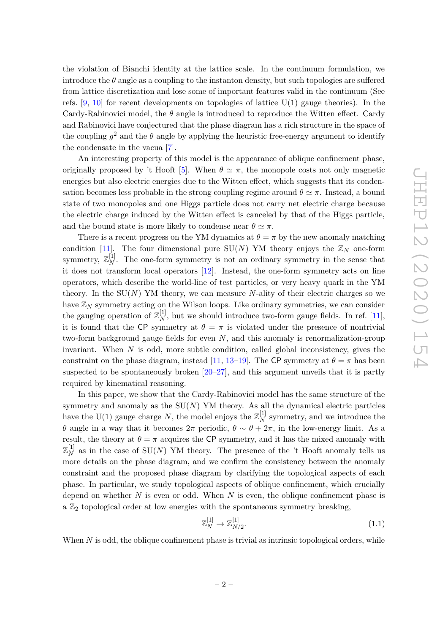the violation of Bianchi identity at the lattice scale. In the continuum formulation, we introduce the  $\theta$  angle as a coupling to the instanton density, but such topologies are suffered from lattice discretization and lose some of important features valid in the continuum (See refs.  $[9, 10]$  $[9, 10]$  $[9, 10]$  for recent developments on topologies of lattice  $U(1)$  gauge theories). In the Cardy-Rabinovici model, the *θ* angle is introduced to reproduce the Witten effect. Cardy and Rabinovici have conjectured that the phase diagram has a rich structure in the space of the coupling  $g^2$  and the  $\theta$  angle by applying the heuristic free-energy argument to identify the condensate in the vacua [\[7\]](#page-27-4).

An interesting property of this model is the appearance of oblique confinement phase, originally proposed by 't Hooft [\[5\]](#page-27-2). When  $\theta \simeq \pi$ , the monopole costs not only magnetic energies but also electric energies due to the Witten effect, which suggests that its condensation becomes less probable in the strong coupling regime around  $\theta \simeq \pi$ . Instead, a bound state of two monopoles and one Higgs particle does not carry net electric charge because the electric charge induced by the Witten effect is canceled by that of the Higgs particle, and the bound state is more likely to condense near  $\theta \simeq \pi$ .

There is a recent progress on the YM dynamics at  $\theta = \pi$  by the new anomaly matching condition [\[11\]](#page-28-1). The four dimensional pure  $SU(N)$  YM theory enjoys the  $\mathbb{Z}_N$  one-form symmetry,  $\mathbb{Z}_N^{[1]}$ . The one-form symmetry is not an ordinary symmetry in the sense that it does not transform local operators [\[12\]](#page-28-2). Instead, the one-form symmetry acts on line operators, which describe the world-line of test particles, or very heavy quark in the YM theory. In the SU(*N*) YM theory, we can measure *N*-ality of their electric charges so we have  $\mathbb{Z}_N$  symmetry acting on the Wilson loops. Like ordinary symmetries, we can consider the gauging operation of  $\mathbb{Z}_N^{[1]}$ , but we should introduce two-form gauge fields. In ref. [\[11\]](#page-28-1), it is found that the CP symmetry at  $\theta = \pi$  is violated under the presence of nontrivial two-form background gauge fields for even *N*, and this anomaly is renormalization-group invariant. When *N* is odd, more subtle condition, called global inconsistency, gives the constraint on the phase diagram, instead [\[11,](#page-28-1) [13](#page-28-3)[–19\]](#page-28-4). The CP symmetry at  $\theta = \pi$  has been suspected to be spontaneously broken [\[20](#page-28-5)[–27\]](#page-28-6), and this argument unveils that it is partly required by kinematical reasoning.

In this paper, we show that the Cardy-Rabinovici model has the same structure of the symmetry and anomaly as the  $SU(N)$  YM theory. As all the dynamical electric particles have the U(1) gauge charge  $N$ , the model enjoys the  $\mathbb{Z}_N^{[1]}$  symmetry, and we introduce the *θ* angle in a way that it becomes  $2\pi$  periodic,  $\theta \sim \theta + 2\pi$ , in the low-energy limit. As a result, the theory at  $\theta = \pi$  acquires the CP symmetry, and it has the mixed anomaly with  $\mathbb{Z}_N^{[1]}$  as in the case of SU(*N*) YM theory. The presence of the 't Hooft anomaly tells us more details on the phase diagram, and we confirm the consistency between the anomaly constraint and the proposed phase diagram by clarifying the topological aspects of each phase. In particular, we study topological aspects of oblique confinement, which crucially depend on whether *N* is even or odd. When *N* is even, the oblique confinement phase is a  $\mathbb{Z}_2$  topological order at low energies with the spontaneous symmetry breaking,

$$
\mathbb{Z}_N^{[1]} \to \mathbb{Z}_{N/2}^{[1]}.\tag{1.1}
$$

When *N* is odd, the oblique confinement phase is trivial as intrinsic topological orders, while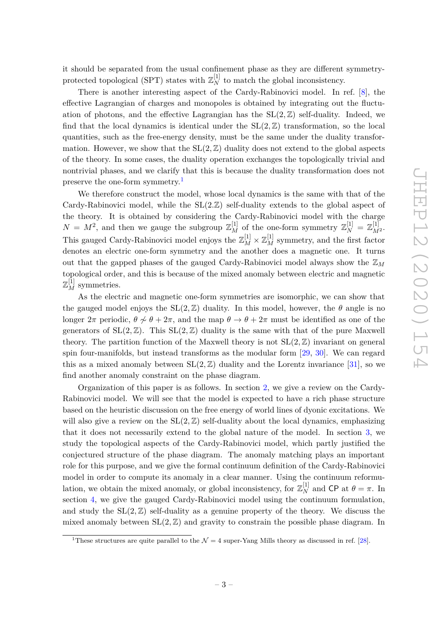it should be separated from the usual confinement phase as they are different symmetryprotected topological (SPT) states with  $\mathbb{Z}_N^{[1]}$  to match the global inconsistency.

There is another interesting aspect of the Cardy-Rabinovici model. In ref. [\[8\]](#page-27-5), the effective Lagrangian of charges and monopoles is obtained by integrating out the fluctuation of photons, and the effective Lagrangian has the  $SL(2, \mathbb{Z})$  self-duality. Indeed, we find that the local dynamics is identical under the  $SL(2, \mathbb{Z})$  transformation, so the local quantities, such as the free-energy density, must be the same under the duality transformation. However, we show that the  $SL(2, \mathbb{Z})$  duality does not extend to the global aspects of the theory. In some cases, the duality operation exchanges the topologically trivial and nontrivial phases, and we clarify that this is because the duality transformation does not preserve the one-form symmetry.[1](#page-3-0)

We therefore construct the model, whose local dynamics is the same with that of the Cardy-Rabinovici model, while the SL(2*.*Z) self-duality extends to the global aspect of the theory. It is obtained by considering the Cardy-Rabinovici model with the charge  $N = M^2$ , and then we gauge the subgroup  $\mathbb{Z}_M^{[1]}$  of the one-form symmetry  $\mathbb{Z}_N^{[1]} = \mathbb{Z}_{M^2}^{[1]}$ . This gauged Cardy-Rabinovici model enjoys the  $\mathbb{Z}_M^{[1]}\times \mathbb{Z}_M^{[1]}$  symmetry, and the first factor denotes an electric one-form symmetry and the another does a magnetic one. It turns out that the gapped phases of the gauged Cardy-Rabinovici model always show the Z*<sup>M</sup>* topological order, and this is because of the mixed anomaly between electric and magnetic  $\mathbb{Z}_M^{[1]}$  symmetries.

As the electric and magnetic one-form symmetries are isomorphic, we can show that the gauged model enjoys the  $SL(2, \mathbb{Z})$  duality. In this model, however, the  $\theta$  angle is no longer  $2\pi$  periodic,  $\theta \nsim \theta + 2\pi$ , and the map  $\theta \rightarrow \theta + 2\pi$  must be identified as one of the generators of  $SL(2, \mathbb{Z})$ . This  $SL(2, \mathbb{Z})$  duality is the same with that of the pure Maxwell theory. The partition function of the Maxwell theory is not  $SL(2, \mathbb{Z})$  invariant on general spin four-manifolds, but instead transforms as the modular form [\[29,](#page-29-0) [30\]](#page-29-1). We can regard this as a mixed anomaly between  $SL(2, \mathbb{Z})$  duality and the Lorentz invariance [\[31\]](#page-29-2), so we find another anomaly constraint on the phase diagram.

Organization of this paper is as follows. In section [2,](#page-4-0) we give a review on the Cardy-Rabinovici model. We will see that the model is expected to have a rich phase structure based on the heuristic discussion on the free energy of world lines of dyonic excitations. We will also give a review on the  $SL(2, \mathbb{Z})$  self-duality about the local dynamics, emphasizing that it does not necessarily extend to the global nature of the model. In section [3,](#page-12-0) we study the topological aspects of the Cardy-Rabinovici model, which partly justified the conjectured structure of the phase diagram. The anomaly matching plays an important role for this purpose, and we give the formal continuum definition of the Cardy-Rabinovici model in order to compute its anomaly in a clear manner. Using the continuum reformulation, we obtain the mixed anomaly, or global inconsistency, for  $\mathbb{Z}_N^{[1]}$  and CP at  $\theta = \pi$ . In section [4,](#page-20-0) we give the gauged Cardy-Rabinovici model using the continuum formulation, and study the  $SL(2, \mathbb{Z})$  self-duality as a genuine property of the theory. We discuss the mixed anomaly between  $SL(2, \mathbb{Z})$  and gravity to constrain the possible phase diagram. In

<span id="page-3-0"></span><sup>&</sup>lt;sup>1</sup>These structures are quite parallel to the  $\mathcal{N} = 4$  super-Yang Mills theory as discussed in ref. [\[28\]](#page-28-7).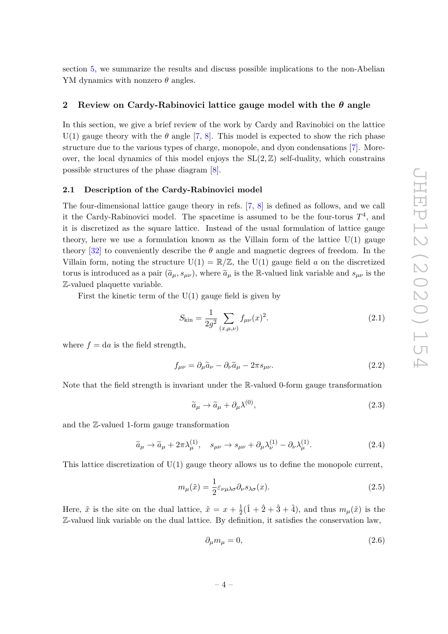section [5,](#page-25-0) we summarize the results and discuss possible implications to the non-Abelian YM dynamics with nonzero *θ* angles.

# <span id="page-4-0"></span>**2 Review on Cardy-Rabinovici lattice gauge model with the** *θ* **angle**

In this section, we give a brief review of the work by Cardy and Ravinobici on the lattice U(1) gauge theory with the  $\theta$  angle [\[7,](#page-27-4) [8\]](#page-27-5). This model is expected to show the rich phase structure due to the various types of charge, monopole, and dyon condensations [\[7\]](#page-27-4). Moreover, the local dynamics of this model enjoys the  $SL(2, \mathbb{Z})$  self-duality, which constrains possible structures of the phase diagram [\[8\]](#page-27-5).

#### <span id="page-4-1"></span>**2.1 Description of the Cardy-Rabinovici model**

The four-dimensional lattice gauge theory in refs. [\[7,](#page-27-4) [8\]](#page-27-5) is defined as follows, and we call it the Cardy-Rabinovici model. The spacetime is assumed to be the four-torus  $T^4$ , and it is discretized as the square lattice. Instead of the usual formulation of lattice gauge theory, here we use a formulation known as the Villain form of the lattice  $U(1)$  gauge theory  $[32]$  to conveniently describe the  $\theta$  angle and magnetic degrees of freedom. In the Villain form, noting the structure  $U(1) = \mathbb{R}/\mathbb{Z}$ , the  $U(1)$  gauge field *a* on the discretized torus is introduced as a pair  $(\tilde{a}_{\mu}, s_{\mu\nu})$ , where  $\tilde{a}_{\mu}$  is the R-valued link variable and  $s_{\mu\nu}$  is the Z-valued plaquette variable.

First the kinetic term of the  $U(1)$  gauge field is given by

$$
S_{\rm kin} = \frac{1}{2g^2} \sum_{(x,\mu,\nu)} f_{\mu\nu}(x)^2.
$$
 (2.1)

where  $f = da$  is the field strength,

$$
f_{\mu\nu} = \partial_{\mu}\tilde{a}_{\nu} - \partial_{\nu}\tilde{a}_{\mu} - 2\pi s_{\mu\nu}.
$$
\n(2.2)

Note that the field strength is invariant under the R-valued 0-form gauge transformation

$$
\tilde{a}_{\mu} \to \tilde{a}_{\mu} + \partial_{\mu} \lambda^{(0)},\tag{2.3}
$$

and the Z-valued 1-form gauge transformation

$$
\tilde{a}_{\mu} \to \tilde{a}_{\mu} + 2\pi \lambda_{\mu}^{(1)}, \quad s_{\mu\nu} \to s_{\mu\nu} + \partial_{\mu} \lambda_{\nu}^{(1)} - \partial_{\nu} \lambda_{\mu}^{(1)}.
$$
\n(2.4)

This lattice discretization of  $U(1)$  gauge theory allows us to define the monopole current,

$$
m_{\mu}(\tilde{x}) = \frac{1}{2} \varepsilon_{\nu\mu\lambda\sigma} \partial_{\nu} s_{\lambda\sigma}(x). \tag{2.5}
$$

Here,  $\tilde{x}$  is the site on the dual lattice,  $\tilde{x} = x + \frac{1}{2}$  $\frac{1}{2}(\hat{1} + \hat{2} + \hat{3} + \hat{4})$ , and thus  $m_{\mu}(\tilde{x})$  is the Z-valued link variable on the dual lattice. By definition, it satisfies the conservation law,

$$
\partial_{\mu}m_{\mu}=0,\tag{2.6}
$$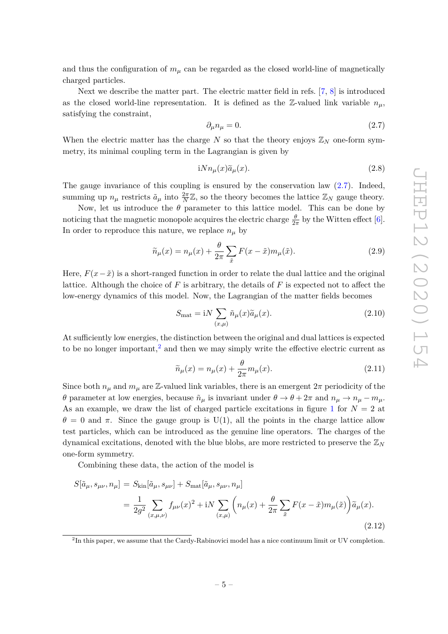and thus the configuration of  $m<sub>\mu</sub>$  can be regarded as the closed world-line of magnetically charged particles.

Next we describe the matter part. The electric matter field in refs. [\[7,](#page-27-4) [8\]](#page-27-5) is introduced as the closed world-line representation. It is defined as the Z-valued link variable  $n<sub>u</sub>$ , satisfying the constraint,

<span id="page-5-0"></span>
$$
\partial_{\mu}n_{\mu}=0.\tag{2.7}
$$

When the electric matter has the charge  $N$  so that the theory enjoys  $\mathbb{Z}_N$  one-form symmetry, its minimal coupling term in the Lagrangian is given by

$$
iNn_{\mu}(x)\tilde{a}_{\mu}(x). \tag{2.8}
$$

The gauge invariance of this coupling is ensured by the conservation law  $(2.7)$ . Indeed, summing up  $n_{\mu}$  restricts  $\tilde{a}_{\mu}$  into  $\frac{2\pi}{N}\mathbb{Z}$ , so the theory becomes the lattice  $\mathbb{Z}_N$  gauge theory.

Now, let us introduce the  $\theta$  parameter to this lattice model. This can be done by noticing that the magnetic monopole acquires the electric charge  $\frac{\theta}{2\pi}$  by the Witten effect [\[6\]](#page-27-3). In order to reproduce this nature, we replace  $n<sub>\mu</sub>$  by

$$
\widetilde{n}_{\mu}(x) = n_{\mu}(x) + \frac{\theta}{2\pi} \sum_{\tilde{x}} F(x - \tilde{x}) m_{\mu}(\tilde{x}). \tag{2.9}
$$

Here,  $F(x-\tilde{x})$  is a short-ranged function in order to relate the dual lattice and the original lattice. Although the choice of *F* is arbitrary, the details of *F* is expected not to affect the low-energy dynamics of this model. Now, the Lagrangian of the matter fields becomes

$$
S_{\text{mat}} = iN \sum_{(x,\mu)} \tilde{n}_{\mu}(x)\tilde{a}_{\mu}(x). \tag{2.10}
$$

At sufficiently low energies, the distinction between the original and dual lattices is expected to be no longer important,<sup>[2](#page-5-1)</sup> and then we may simply write the effective electric current as

$$
\widetilde{n}_{\mu}(x) = n_{\mu}(x) + \frac{\theta}{2\pi} m_{\mu}(x). \tag{2.11}
$$

Since both  $n_{\mu}$  and  $m_{\mu}$  are Z-valued link variables, there is an emergent  $2\pi$  periodicity of the *θ* parameter at low energies, because  $\tilde{n}_{\mu}$  is invariant under  $\theta \to \theta + 2\pi$  and  $n_{\mu} \to n_{\mu} - m_{\mu}$ . As an example, we draw the list of charged particle excitations in figure [1](#page-6-1) for  $N = 2$  at  $\theta = 0$  and  $\pi$ . Since the gauge group is U(1), all the points in the charge lattice allow test particles, which can be introduced as the genuine line operators. The charges of the dynamical excitations, denoted with the blue blobs, are more restricted to preserve the Z*<sup>N</sup>* one-form symmetry.

Combining these data, the action of the model is

<span id="page-5-2"></span>
$$
S[\tilde{a}_{\mu}, s_{\mu\nu}, n_{\mu}] = S_{\text{kin}}[\tilde{a}_{\mu}, s_{\mu\nu}] + S_{\text{mat}}[\tilde{a}_{\mu}, s_{\mu\nu}, n_{\mu}]
$$
  
= 
$$
\frac{1}{2g^2} \sum_{(x,\mu,\nu)} f_{\mu\nu}(x)^2 + iN \sum_{(x,\mu)} \left( n_{\mu}(x) + \frac{\theta}{2\pi} \sum_{\tilde{x}} F(x - \tilde{x}) m_{\mu}(\tilde{x}) \right) \tilde{a}_{\mu}(x).
$$
(2.12)

<span id="page-5-1"></span><sup>2</sup>In this paper, we assume that the Cardy-Rabinovici model has a nice continuum limit or UV completion.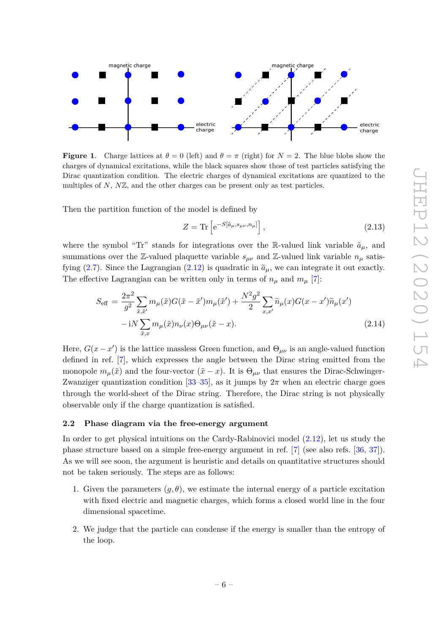

<span id="page-6-1"></span>**Figure 1.** Charge lattices at  $\theta = 0$  (left) and  $\theta = \pi$  (right) for  $N = 2$ . The blue blobs show the charges of dynamical excitations, while the black squares show those of test particles satisfying the Dirac quantization condition. The electric charges of dynamical excitations are quantized to the multiples of *N*, *N*Z, and the other charges can be present only as test particles.

Then the partition function of the model is defined by

$$
Z = \text{Tr}\left[e^{-S[\tilde{a}_{\mu}, s_{\mu\nu}, n_{\mu}]} \right],\tag{2.13}
$$

where the symbol "Tr" stands for integrations over the R-valued link variable  $\tilde{a}_{\mu}$ , and summations over the Z-valued plaquette variable  $s_{\mu\nu}$  and Z-valued link variable  $n_{\mu}$  satis-fying [\(2.7\)](#page-5-0). Since the Lagrangian [\(2.12\)](#page-5-2) is quadratic in  $\tilde{a}_{\mu}$ , we can integrate it out exactly. The effective Lagrangian can be written only in terms of  $n_{\mu}$  and  $m_{\mu}$  [\[7\]](#page-27-4):

<span id="page-6-2"></span>
$$
S_{\text{eff}} = \frac{2\pi^2}{g^2} \sum_{\tilde{x}, \tilde{x}'} m_{\mu}(\tilde{x}) G(\tilde{x} - \tilde{x}') m_{\mu}(\tilde{x}') + \frac{N^2 g^2}{2} \sum_{x, x'} \tilde{n}_{\mu}(x) G(x - x') \tilde{n}_{\mu}(x') - iN \sum_{\tilde{x}, x} m_{\mu}(\tilde{x}) n_{\nu}(x) \Theta_{\mu\nu}(\tilde{x} - x).
$$
\n(2.14)

Here,  $G(x - x')$  is the lattice massless Green function, and  $\Theta_{\mu\nu}$  is an angle-valued function defined in ref. [\[7\]](#page-27-4), which expresses the angle between the Dirac string emitted from the monopole  $m_{\mu}(\tilde{x})$  and the four-vector  $(\tilde{x} - x)$ . It is  $\Theta_{\mu\nu}$  that ensures the Dirac-Schwinger-Zwanziger quantization condition  $[33-35]$  $[33-35]$ , as it jumps by  $2\pi$  when an electric charge goes through the world-sheet of the Dirac string. Therefore, the Dirac string is not physically observable only if the charge quantization is satisfied.

# <span id="page-6-0"></span>**2.2 Phase diagram via the free-energy argument**

In order to get physical intuitions on the Cardy-Rabinovici model [\(2.12\)](#page-5-2), let us study the phase structure based on a simple free-energy argument in ref. [\[7\]](#page-27-4) (see also refs. [\[36,](#page-29-6) [37\]](#page-29-7)). As we will see soon, the argument is heuristic and details on quantitative structures should not be taken seriously. The steps are as follows:

- 1. Given the parameters  $(g, \theta)$ , we estimate the internal energy of a particle excitation with fixed electric and magnetic charges, which forms a closed world line in the four dimensional spacetime.
- 2. We judge that the particle can condense if the energy is smaller than the entropy of the loop.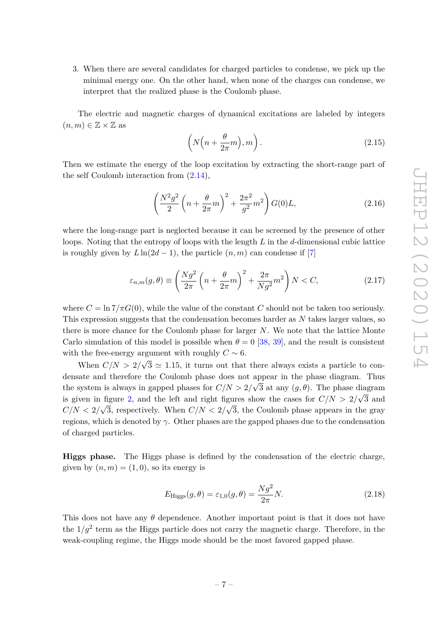3. When there are several candidates for charged particles to condense, we pick up the minimal energy one. On the other hand, when none of the charges can condense, we interpret that the realized phase is the Coulomb phase.

The electric and magnetic charges of dynamical excitations are labeled by integers  $(n, m) \in \mathbb{Z} \times \mathbb{Z}$  as

<span id="page-7-1"></span>
$$
\left(N\left(n+\frac{\theta}{2\pi}m\right),m\right).
$$
\n(2.15)

Then we estimate the energy of the loop excitation by extracting the short-range part of the self Coulomb interaction from [\(2.14\)](#page-6-2),

$$
\left(\frac{N^2g^2}{2}\left(n+\frac{\theta}{2\pi}m\right)^2 + \frac{2\pi^2}{g^2}m^2\right)G(0)L,
$$
\n(2.16)

where the long-range part is neglected because it can be screened by the presence of other loops. Noting that the entropy of loops with the length *L* in the *d*-dimensional cubic lattice is roughly given by  $L\ln(2d-1)$ , the particle  $(n, m)$  can condense if [\[7\]](#page-27-4)

<span id="page-7-0"></span>
$$
\varepsilon_{n,m}(g,\theta) \equiv \left(\frac{Ng^2}{2\pi} \left(n + \frac{\theta}{2\pi}m\right)^2 + \frac{2\pi}{Ng^2}m^2\right)N < C,\tag{2.17}
$$

where  $C = \ln 7/\pi G(0)$ , while the value of the constant *C* should not be taken too seriously. This expression suggests that the condensation becomes harder as *N* takes larger values, so there is more chance for the Coulomb phase for larger *N*. We note that the lattice Monte Carlo simulation of this model is possible when  $\theta = 0$  [\[38,](#page-29-8) [39\]](#page-29-9), and the result is consistent with the free-energy argument with roughly  $C \sim 6$ . ح≖<br>∕

When *C/N >* 2*/*  $3 \simeq 1.15$ , it turns out that there always exists a particle to condensate and therefore the Coulomb phase does not appear in the phase diagram. Thus the system is always in gapped phases for  $C/N > 2/\sqrt{3}$  at any  $(g, \theta)$ . The phase diagram is given in figure [2,](#page-8-0) and the left and right figures show the cases for  $C/N > 2/\sqrt{3}$  and  $C/N < 2/\sqrt{3}$ , respectively. When  $C/N < 2/\sqrt{3}$ , the Coulomb phase appears in the gray regions, which is denoted by *γ*. Other phases are the gapped phases due to the condensation of charged particles.

**Higgs phase.** The Higgs phase is defined by the condensation of the electric charge, given by  $(n, m) = (1, 0)$ , so its energy is

$$
E_{\text{Higgs}}(g,\theta) = \varepsilon_{1,0}(g,\theta) = \frac{Ng^2}{2\pi}N.
$$
\n(2.18)

This does not have any  $\theta$  dependence. Another important point is that it does not have the  $1/g^2$  term as the Higgs particle does not carry the magnetic charge. Therefore, in the weak-coupling regime, the Higgs mode should be the most favored gapped phase.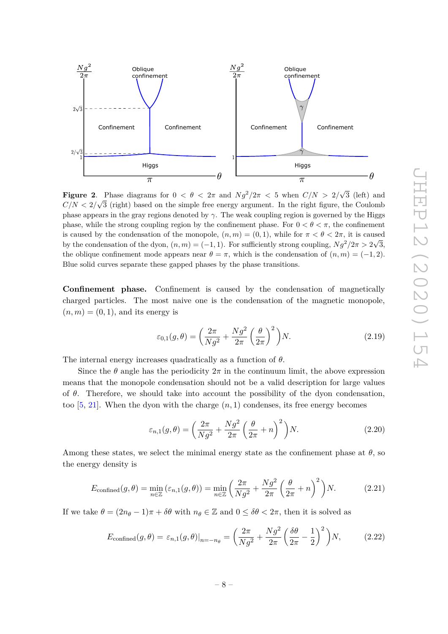

<span id="page-8-0"></span>**Figure 2**. Phase diagrams for  $0 < \theta < 2\pi$  and  $Ng^2/2\pi < 5$  when  $C/N > 2/\sqrt{ }$ Phase diagrams for  $0 < \theta < 2\pi$  and  $Ng^2/2\pi < 5$  when  $C/N > 2/\sqrt{3}$  (left) and  $C/N < 2/\sqrt{3}$  (right) based on the simple free energy argument. In the right figure, the Coulomb phase appears in the gray regions denoted by  $\gamma$ . The weak coupling region is governed by the Higgs phase, while the strong coupling region by the confinement phase. For  $0 < \theta < \pi$ , the confinement is caused by the condensation of the monopole,  $(n, m) = (0, 1)$ , while for  $\pi < \theta < 2\pi$ , it is caused by the condensation of the dyon,  $(n,m) = (-1,1)$ . For sufficiently strong coupling,  $Ng^2/2\pi > 2\sqrt{3}$ , the oblique confinement mode appears near  $\theta = \pi$ , which is the condensation of  $(n, m) = (-1, 2)$ . Blue solid curves separate these gapped phases by the phase transitions.

**Confinement phase.** Confinement is caused by the condensation of magnetically charged particles. The most naive one is the condensation of the magnetic monopole,  $(n, m) = (0, 1)$ , and its energy is

$$
\varepsilon_{0,1}(g,\theta) = \left(\frac{2\pi}{Ng^2} + \frac{Ng^2}{2\pi} \left(\frac{\theta}{2\pi}\right)^2\right) N. \tag{2.19}
$$

The internal energy increases quadratically as a function of *θ*.

Since the  $\theta$  angle has the periodicity  $2\pi$  in the continuum limit, the above expression means that the monopole condensation should not be a valid description for large values of *θ*. Therefore, we should take into account the possibility of the dyon condensation, too  $[5, 21]$  $[5, 21]$  $[5, 21]$ . When the dyon with the charge  $(n, 1)$  condenses, its free energy becomes

$$
\varepsilon_{n,1}(g,\theta) = \left(\frac{2\pi}{Ng^2} + \frac{Ng^2}{2\pi} \left(\frac{\theta}{2\pi} + n\right)^2\right) N. \tag{2.20}
$$

Among these states, we select the minimal energy state as the confinement phase at  $\theta$ , so the energy density is

$$
E_{\text{confined}}(g,\theta) = \min_{n \in \mathbb{Z}} \left( \varepsilon_{n,1}(g,\theta) \right) = \min_{n \in \mathbb{Z}} \left( \frac{2\pi}{Ng^2} + \frac{Ng^2}{2\pi} \left( \frac{\theta}{2\pi} + n \right)^2 \right) N. \tag{2.21}
$$

If we take  $\theta = (2n_{\theta} - 1)\pi + \delta\theta$  with  $n_{\theta} \in \mathbb{Z}$  and  $0 \leq \delta\theta < 2\pi$ , then it is solved as

$$
E_{\text{confined}}(g,\theta) = \varepsilon_{n,1}(g,\theta)|_{n=-n_{\theta}} = \left(\frac{2\pi}{Ng^2} + \frac{Ng^2}{2\pi} \left(\frac{\delta\theta}{2\pi} - \frac{1}{2}\right)^2\right)N,\tag{2.22}
$$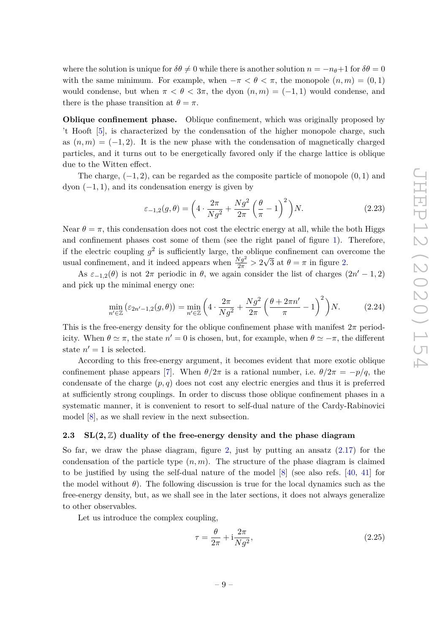where the solution is unique for  $\delta\theta \neq 0$  while there is another solution  $n = -n_{\theta} + 1$  for  $\delta\theta = 0$ with the same minimum. For example, when  $-\pi < \theta < \pi$ , the monopole  $(n, m) = (0, 1)$ would condense, but when  $\pi < \theta < 3\pi$ , the dyon  $(n, m) = (-1, 1)$  would condense, and there is the phase transition at  $\theta = \pi$ .

**Oblique confinement phase.** Oblique confinement, which was originally proposed by 't Hooft [\[5\]](#page-27-2), is characterized by the condensation of the higher monopole charge, such as  $(n, m) = (-1, 2)$ . It is the new phase with the condensation of magnetically charged particles, and it turns out to be energetically favored only if the charge lattice is oblique due to the Witten effect.

The charge, (−1*,* 2), can be regarded as the composite particle of monopole (0*,* 1) and  $dyon$   $(-1, 1)$ , and its condensation energy is given by

$$
\varepsilon_{-1,2}(g,\theta) = \left(4 \cdot \frac{2\pi}{Ng^2} + \frac{Ng^2}{2\pi} \left(\frac{\theta}{\pi} - 1\right)^2\right) N. \tag{2.23}
$$

Near  $\theta = \pi$ , this condensation does not cost the electric energy at all, while the both Higgs and confinement phases cost some of them (see the right panel of figure [1\)](#page-6-1). Therefore, if the electric coupling  $g^2$  is sufficiently large, the oblique confinement can overcome the usual confinement, and it indeed appears when  $\frac{N g^2}{2\pi} > 2$ √ 3 at  $\theta = \pi$  in figure [2.](#page-8-0)

As  $\varepsilon_{-1,2}(\theta)$  is not  $2\pi$  periodic in  $\theta$ , we again consider the list of charges  $(2n' - 1, 2)$ and pick up the minimal energy one:

$$
\min_{n' \in \mathbb{Z}} \left( \varepsilon_{2n'-1,2}(g,\theta) \right) = \min_{n' \in \mathbb{Z}} \left( 4 \cdot \frac{2\pi}{Ng^2} + \frac{Ng^2}{2\pi} \left( \frac{\theta + 2\pi n'}{\pi} - 1 \right)^2 \right) N. \tag{2.24}
$$

This is the free-energy density for the oblique confinement phase with manifest  $2\pi$  periodicity. When  $\theta \simeq \pi$ , the state  $n' = 0$  is chosen, but, for example, when  $\theta \simeq -\pi$ , the different state  $n' = 1$  is selected.

According to this free-energy argument, it becomes evident that more exotic oblique confinement phase appears [\[7\]](#page-27-4). When  $\theta/2\pi$  is a rational number, i.e.  $\theta/2\pi = -p/q$ , the condensate of the charge  $(p, q)$  does not cost any electric energies and thus it is preferred at sufficiently strong couplings. In order to discuss those oblique confinement phases in a systematic manner, it is convenient to resort to self-dual nature of the Cardy-Rabinovici model [\[8\]](#page-27-5), as we shall review in the next subsection.

# <span id="page-9-0"></span>**2.3 SL(2***,* $\mathbb{Z}$ ) duality of the free-energy density and the phase diagram

So far, we draw the phase diagram, figure [2,](#page-8-0) just by putting an ansatz  $(2.17)$  for the condensation of the particle type  $(n, m)$ . The structure of the phase diagram is claimed to be justified by using the self-dual nature of the model [\[8\]](#page-27-5) (see also refs. [\[40,](#page-29-10) [41\]](#page-29-11) for the model without  $\theta$ ). The following discussion is true for the local dynamics such as the free-energy density, but, as we shall see in the later sections, it does not always generalize to other observables.

Let us introduce the complex coupling,

$$
\tau = \frac{\theta}{2\pi} + i\frac{2\pi}{Ng^2},\tag{2.25}
$$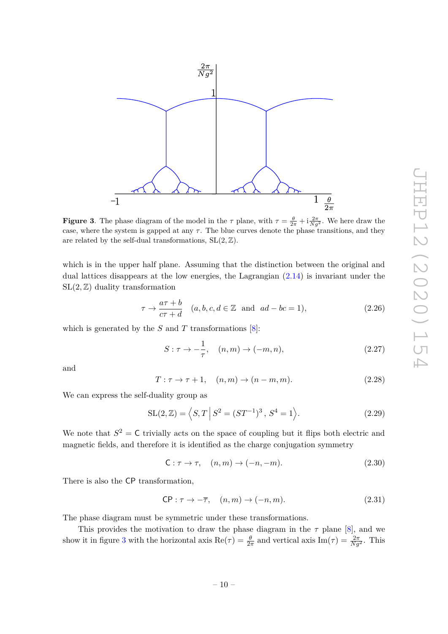

<span id="page-10-0"></span>**Figure 3**. The phase diagram of the model in the  $\tau$  plane, with  $\tau = \frac{\theta}{2\pi} + i\frac{2\pi}{Ng^2}$ . We here draw the case, where the system is gapped at any  $\tau$ . The blue curves denote the phase transitions, and they are related by the self-dual transformations,  $SL(2, \mathbb{Z})$ .

which is in the upper half plane. Assuming that the distinction between the original and dual lattices disappears at the low energies, the Lagrangian [\(2.14\)](#page-6-2) is invariant under the  $SL(2, \mathbb{Z})$  duality transformation

$$
\tau \to \frac{a\tau + b}{c\tau + d} \quad (a, b, c, d \in \mathbb{Z} \text{ and } ad - bc = 1), \tag{2.26}
$$

which is generated by the  $S$  and  $T$  transformations  $[8]$ :

<span id="page-10-1"></span>
$$
S: \tau \to -\frac{1}{\tau}, \quad (n, m) \to (-m, n), \tag{2.27}
$$

and

<span id="page-10-2"></span>
$$
T: \tau \to \tau + 1, \quad (n, m) \to (n - m, m). \tag{2.28}
$$

We can express the self-duality group as

$$
SL(2, \mathbb{Z}) = \langle S, T | S^2 = (ST^{-1})^3, S^4 = 1 \rangle.
$$
 (2.29)

We note that  $S^2 = C$  trivially acts on the space of coupling but it flips both electric and magnetic fields, and therefore it is identified as the charge conjugation symmetry

$$
\mathsf{C}: \tau \to \tau, \quad (n, m) \to (-n, -m). \tag{2.30}
$$

There is also the CP transformation,

$$
CP: \tau \to -\overline{\tau}, \quad (n, m) \to (-n, m). \tag{2.31}
$$

The phase diagram must be symmetric under these transformations.

This provides the motivation to draw the phase diagram in the  $\tau$  plane [\[8\]](#page-27-5), and we show it in figure [3](#page-10-0) with the horizontal axis  $\text{Re}(\tau) = \frac{\theta}{2\pi}$  and vertical axis  $\text{Im}(\tau) = \frac{2\pi}{Ng^2}$ . This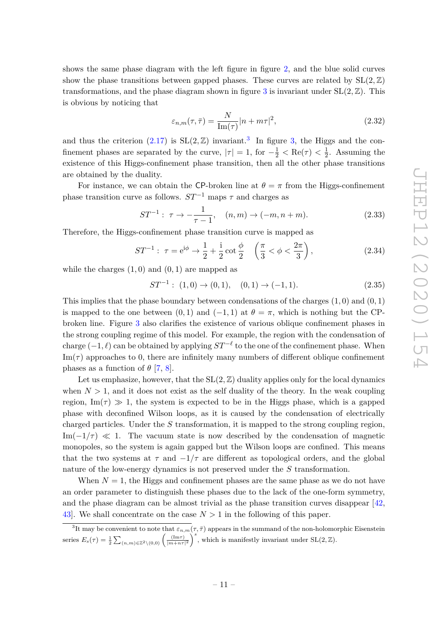shows the same phase diagram with the left figure in figure [2,](#page-8-0) and the blue solid curves show the phase transitions between gapped phases. These curves are related by  $SL(2,\mathbb{Z})$ transformations, and the phase diagram shown in figure [3](#page-10-0) is invariant under  $SL(2, \mathbb{Z})$ . This is obvious by noticing that

$$
\varepsilon_{n,m}(\tau,\bar{\tau}) = \frac{N}{\text{Im}(\tau)} |n + m\tau|^2,
$$
\n(2.32)

and thus the criterion  $(2.17)$  is  $SL(2, \mathbb{Z})$  invariant.<sup>[3](#page-11-0)</sup> In figure [3,](#page-10-0) the Higgs and the confinement phases are separated by the curve,  $|\tau| = 1$ , for  $-\frac{1}{2} < \text{Re}(\tau) < \frac{1}{2}$  $\frac{1}{2}$ . Assuming the existence of this Higgs-confinement phase transition, then all the other phase transitions are obtained by the duality.

For instance, we can obtain the CP-broken line at  $\theta = \pi$  from the Higgs-confinement phase transition curve as follows.  $ST^{-1}$  maps  $\tau$  and charges as

$$
ST^{-1}: \tau \to -\frac{1}{\tau - 1}, \quad (n, m) \to (-m, n + m). \tag{2.33}
$$

Therefore, the Higgs-confinement phase transition curve is mapped as

$$
ST^{-1}: \ \tau = e^{i\phi} \to \frac{1}{2} + \frac{i}{2} \cot \frac{\phi}{2} \quad \left(\frac{\pi}{3} < \phi < \frac{2\pi}{3}\right), \tag{2.34}
$$

while the charges  $(1,0)$  and  $(0,1)$  are mapped as

$$
ST^{-1}: (1,0) \to (0,1), (0,1) \to (-1,1). \tag{2.35}
$$

This implies that the phase boundary between condensations of the charges (1*,* 0) and (0*,* 1) is mapped to the one between  $(0,1)$  and  $(-1,1)$  at  $\theta = \pi$ , which is nothing but the CPbroken line. Figure [3](#page-10-0) also clarifies the existence of various oblique confinement phases in the strong coupling regime of this model. For example, the region with the condensation of charge  $(-1, \ell)$  can be obtained by applying  $ST^{-\ell}$  to the one of the confinement phase. When  $\text{Im}(\tau)$  approaches to 0, there are infinitely many numbers of different oblique confinement phases as a function of  $\theta$  [\[7,](#page-27-4) [8\]](#page-27-5).

Let us emphasize, however, that the  $SL(2, \mathbb{Z})$  duality applies only for the local dynamics when  $N > 1$ , and it does not exist as the self duality of the theory. In the weak coupling region,  $\text{Im}(\tau) \gg 1$ , the system is expected to be in the Higgs phase, which is a gapped phase with deconfined Wilson loops, as it is caused by the condensation of electrically charged particles. Under the *S* transformation, it is mapped to the strong coupling region,  $\text{Im}(-1/\tau) \ll 1$ . The vacuum state is now described by the condensation of magnetic monopoles, so the system is again gapped but the Wilson loops are confined. This means that the two systems at  $\tau$  and  $-1/\tau$  are different as topological orders, and the global nature of the low-energy dynamics is not preserved under the *S* transformation.

When  $N = 1$ , the Higgs and confinement phases are the same phase as we do not have an order parameter to distinguish these phases due to the lack of the one-form symmetry, and the phase diagram can be almost trivial as the phase transition curves disappear [\[42,](#page-29-12) 43. We shall concentrate on the case  $N > 1$  in the following of this paper.

<span id="page-11-0"></span><sup>&</sup>lt;sup>3</sup>It may be convenient to note that  $\varepsilon_{n,m}(\tau,\bar{\tau})$  appears in the summand of the non-holomorphic Eisenstein series  $E_s(\tau) = \frac{1}{2} \sum_{(n,m) \in \mathbb{Z}^2 \setminus (0,0)} \left( \frac{(\text{Im}\tau)}{|m+n\tau|^2} \right)^s$ , which is manifestly invariant under SL(2*,* Z).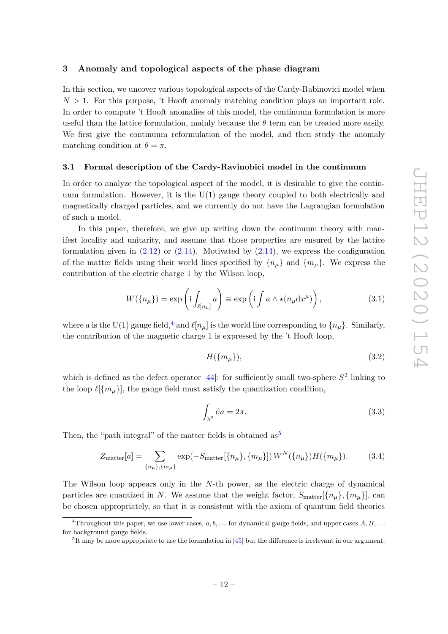# <span id="page-12-0"></span>**3 Anomaly and topological aspects of the phase diagram**

In this section, we uncover various topological aspects of the Cardy-Rabinovici model when  $N > 1$ . For this purpose, 't Hooft anomaly matching condition plays an important role. In order to compute 't Hooft anomalies of this model, the continuum formulation is more useful than the lattice formulation, mainly because the  $\theta$  term can be treated more easily. We first give the continuum reformulation of the model, and then study the anomaly matching condition at  $\theta = \pi$ .

#### <span id="page-12-1"></span>**3.1 Formal description of the Cardy-Ravinobici model in the continuum**

In order to analyze the topological aspect of the model, it is desirable to give the continuum formulation. However, it is the  $U(1)$  gauge theory coupled to both electrically and magnetically charged particles, and we currently do not have the Lagrangian formulation of such a model.

In this paper, therefore, we give up writing down the continuum theory with manifest locality and unitarity, and assume that those properties are ensured by the lattice formulation given in  $(2.12)$  or  $(2.14)$ . Motivated by  $(2.14)$ , we express the configuration of the matter fields using their world lines specified by  ${n<sub>\mu</sub>}$  and  ${m<sub>\mu</sub>}$ . We express the contribution of the electric charge 1 by the Wilson loop,

$$
W(\lbrace n_{\mu}\rbrace) = \exp\left(\mathrm{i} \int_{\ell[n_{\mu}]} a\right) \equiv \exp\left(\mathrm{i} \int a \wedge \star(n_{\mu} \mathrm{d} x^{\mu})\right),\tag{3.1}
$$

where *a* is the U(1) gauge field,<sup>[4](#page-12-2)</sup> and  $\ell[n_\mu]$  is the world line corresponding to  $\{n_\mu\}$ . Similarly, the contribution of the magnetic charge 1 is expressed by the 't Hooft loop,

$$
H(\{m_{\mu}\}),\tag{3.2}
$$

which is defined as the defect operator  $[44]$ : for sufficiently small two-sphere  $S^2$  linking to the loop  $\ell[\{m_\mu\}]$ , the gauge field must satisfy the quantization condition,

$$
\int_{S^2} da = 2\pi.
$$
\n(3.3)

Then, the "path integral" of the matter fields is obtained  $as^5$  $as^5$ 

<span id="page-12-4"></span>
$$
Z_{\text{matter}}[a] = \sum_{\{n_{\mu}\},\{m_{\mu}\}} \exp(-S_{\text{matter}}[\{n_{\mu}\},\{m_{\mu}\}]) W^{N}(\{n_{\mu}\}) H(\{m_{\mu}\}). \tag{3.4}
$$

The Wilson loop appears only in the *N*-th power, as the electric charge of dynamical particles are quantized in *N*. We assume that the weight factor,  $S_{\text{matter}}[\{n_{\mu}\}, \{m_{\mu}\}]$ , can be chosen appropriately, so that it is consistent with the axiom of quantum field theories

<span id="page-12-2"></span><sup>&</sup>lt;sup>4</sup>Throughout this paper, we use lower cases,  $a, b, \ldots$  for dynamical gauge fields, and upper cases  $A, B, \ldots$ for background gauge fields.

<span id="page-12-3"></span><sup>&</sup>lt;sup>5</sup>It may be more appropriate to use the formulation in [\[45\]](#page-29-15) but the difference is irrelevant in our argument.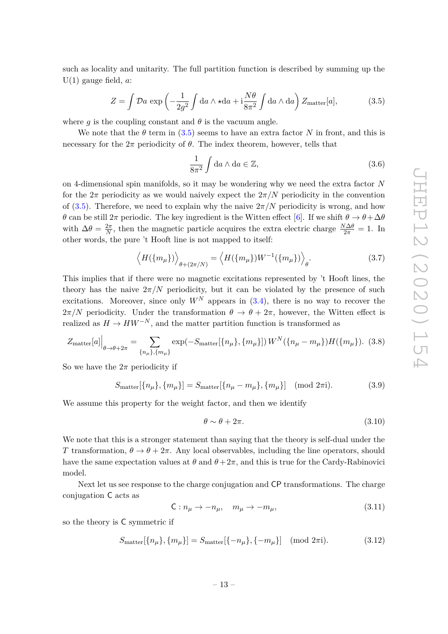such as locality and unitarity. The full partition function is described by summing up the U(1) gauge field, *a*:

<span id="page-13-0"></span>
$$
Z = \int \mathcal{D}a \, \exp\left(-\frac{1}{2g^2} \int \mathrm{d}a \wedge \star \mathrm{d}a + \mathrm{i} \frac{N\theta}{8\pi^2} \int \mathrm{d}a \wedge \mathrm{d}a\right) Z_{\text{matter}}[a],\tag{3.5}
$$

where *q* is the coupling constant and  $\theta$  is the vacuum angle.

We note that the  $\theta$  term in [\(3.5\)](#page-13-0) seems to have an extra factor *N* in front, and this is necessary for the  $2\pi$  periodicity of  $\theta$ . The index theorem, however, tells that

$$
\frac{1}{8\pi^2} \int \mathrm{d}a \wedge \mathrm{d}a \in \mathbb{Z},\tag{3.6}
$$

on 4-dimensional spin manifolds, so it may be wondering why we need the extra factor *N* for the  $2\pi$  periodicity as we would naively expect the  $2\pi/N$  periodicity in the convention of [\(3.5\)](#page-13-0). Therefore, we need to explain why the naive  $2\pi/N$  periodicity is wrong, and how *θ* can be still  $2π$  periodic. The key ingredient is the Witten effect [\[6\]](#page-27-3). If we shift  $θ → θ + Δθ$ with  $\Delta\theta = \frac{2\pi}{N}$  $\frac{2\pi}{N}$ , then the magnetic particle acquires the extra electric charge  $\frac{N\Delta\theta}{2\pi} = 1$ . In other words, the pure 't Hooft line is not mapped to itself:

$$
\left\langle H(\{m_{\mu}\})\right\rangle_{\theta+(2\pi/N)} = \left\langle H(\{m_{\mu}\})W^{-1}(\{m_{\mu}\})\right\rangle_{\theta}.
$$
\n(3.7)

This implies that if there were no magnetic excitations represented by 't Hooft lines, the theory has the naive  $2\pi/N$  periodicity, but it can be violated by the presence of such excitations. Moreover, since only  $W^N$  appears in  $(3.4)$ , there is no way to recover the  $2\pi/N$  periodicity. Under the transformation  $\theta \to \theta + 2\pi$ , however, the Witten effect is realized as  $H \to HW^{-N}$ , and the matter partition function is transformed as

$$
Z_{\text{matter}}[a] \Big|_{\theta \to \theta + 2\pi} = \sum_{\{n_{\mu}\}, \{m_{\mu}\}} \exp(-S_{\text{matter}}[\{n_{\mu}\}, \{m_{\mu}\}]) W^{N}(\{n_{\mu} - m_{\mu}\}) H(\{m_{\mu}\}). \tag{3.8}
$$

So we have the  $2\pi$  periodicity if

$$
S_{\text{matter}}[\{n_{\mu}\}, \{m_{\mu}\}] = S_{\text{matter}}[\{n_{\mu} - m_{\mu}\}, \{m_{\mu}\}] \pmod{2\pi}.
$$
 (3.9)

We assume this property for the weight factor, and then we identify

<span id="page-13-1"></span>
$$
\theta \sim \theta + 2\pi. \tag{3.10}
$$

We note that this is a stronger statement than saying that the theory is self-dual under the *T* transformation,  $θ \rightarrow θ + 2π$ . Any local observables, including the line operators, should have the same expectation values at  $\theta$  and  $\theta + 2\pi$ , and this is true for the Cardy-Rabinovici model.

Next let us see response to the charge conjugation and CP transformations. The charge conjugation C acts as

$$
C: n_{\mu} \to -n_{\mu}, \quad m_{\mu} \to -m_{\mu}, \tag{3.11}
$$

so the theory is C symmetric if

$$
S_{\text{matter}}[\{n_{\mu}\}, \{m_{\mu}\}] = S_{\text{matter}}[\{-n_{\mu}\}, \{-m_{\mu}\}] \pmod{2\pi i}.
$$
 (3.12)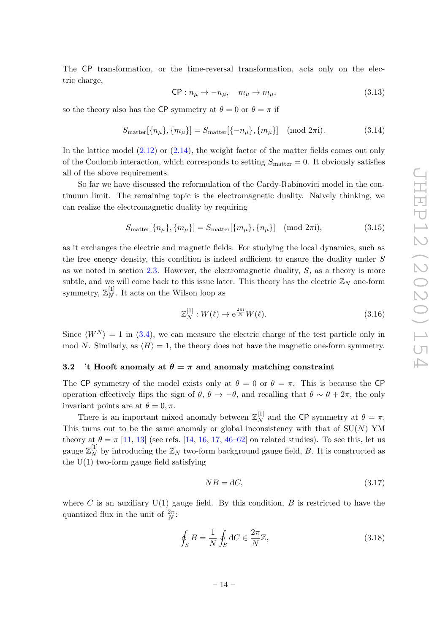The CP transformation, or the time-reversal transformation, acts only on the electric charge,

$$
CP: n_{\mu} \to -n_{\mu}, \quad m_{\mu} \to m_{\mu}, \tag{3.13}
$$

so the theory also has the CP symmetry at  $\theta = 0$  or  $\theta = \pi$  if

$$
S_{\text{matter}}[\{n_{\mu}\}, \{m_{\mu}\}] = S_{\text{matter}}[\{-n_{\mu}\}, \{m_{\mu}\}] \pmod{2\pi i}.
$$
 (3.14)

In the lattice model  $(2.12)$  or  $(2.14)$ , the weight factor of the matter fields comes out only of the Coulomb interaction, which corresponds to setting  $S_{\text{matter}} = 0$ . It obviously satisfies all of the above requirements.

So far we have discussed the reformulation of the Cardy-Rabinovici model in the continuum limit. The remaining topic is the electromagnetic duality. Naively thinking, we can realize the electromagnetic duality by requiring

$$
S_{\text{matter}}[\{n_{\mu}\}, \{m_{\mu}\}] = S_{\text{matter}}[\{m_{\mu}\}, \{n_{\mu}\}] \pmod{2\pi i},\tag{3.15}
$$

as it exchanges the electric and magnetic fields. For studying the local dynamics, such as the free energy density, this condition is indeed sufficient to ensure the duality under *S* as we noted in section [2.3.](#page-9-0) However, the electromagnetic duality, *S*, as a theory is more subtle, and we will come back to this issue later. This theory has the electric  $\mathbb{Z}_N$  one-form symmetry,  $\mathbb{Z}_N^{[1]}$ . It acts on the Wilson loop as

$$
\mathbb{Z}_N^{[1]} : W(\ell) \to \mathrm{e}^{\frac{2\pi\mathrm{i}}{N}} W(\ell). \tag{3.16}
$$

Since  $\langle W^N \rangle = 1$  in [\(3.4\)](#page-12-4), we can measure the electric charge of the test particle only in mod *N*. Similarly, as  $\langle H \rangle = 1$ , the theory does not have the magnetic one-form symmetry.

# <span id="page-14-0"></span>**3.2** 't Hooft anomaly at  $\theta = \pi$  and anomaly matching constraint

The CP symmetry of the model exists only at  $\theta = 0$  or  $\theta = \pi$ . This is because the CP operation effectively flips the sign of  $\theta$ ,  $\theta \to -\theta$ , and recalling that  $\theta \sim \theta + 2\pi$ , the only invariant points are at  $\theta = 0, \pi$ .

There is an important mixed anomaly between  $\mathbb{Z}_N^{[1]}$  and the CP symmetry at  $\theta = \pi$ . This turns out to be the same anomaly or global inconsistency with that of  $SU(N)$  YM theory at  $\theta = \pi$  [\[11,](#page-28-1) [13\]](#page-28-3) (see refs. [\[14,](#page-28-9) [16,](#page-28-10) [17,](#page-28-11) [46–](#page-29-16)[62\]](#page-30-0) on related studies). To see this, let us gauge  $\mathbb{Z}_N^{[1]}$  by introducing the  $\mathbb{Z}_N$  two-form background gauge field, *B*. It is constructed as the  $U(1)$  two-form gauge field satisfying

$$
NB = dC,\tag{3.17}
$$

where C is an auxiliary  $U(1)$  gauge field. By this condition, B is restricted to have the quantized flux in the unit of  $\frac{2\pi}{N}$ :

$$
\oint_{S} B = \frac{1}{N} \oint_{S} dC \in \frac{2\pi}{N} \mathbb{Z},\tag{3.18}
$$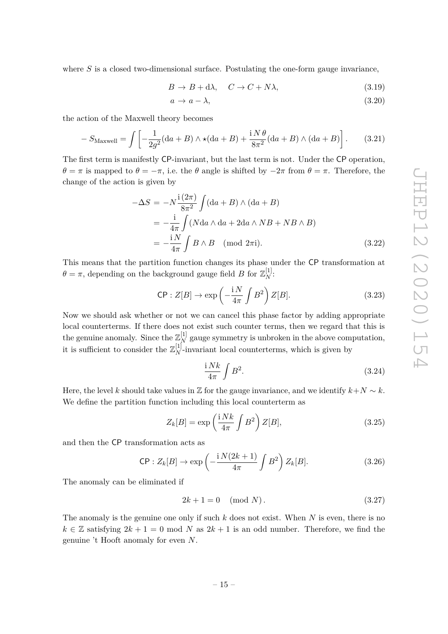where *S* is a closed two-dimensional surface. Postulating the one-form gauge invariance,

$$
B \to B + d\lambda, \quad C \to C + N\lambda,\tag{3.19}
$$

$$
a \to a - \lambda,\tag{3.20}
$$

the action of the Maxwell theory becomes

$$
-S_{\text{Maxwell}} = \int \left[ -\frac{1}{2g^2} (\mathrm{d}a + B) \wedge \star (\mathrm{d}a + B) + \frac{\mathrm{i} N \theta}{8\pi^2} (\mathrm{d}a + B) \wedge (\mathrm{d}a + B) \right]. \tag{3.21}
$$

The first term is manifestly CP-invariant, but the last term is not. Under the CP operation, *θ* = *π* is mapped to *θ* = −*π*, i.e. the *θ* angle is shifted by −2*π* from *θ* = *π*. Therefore, the change of the action is given by

$$
-\Delta S = -N \frac{i(2\pi)}{8\pi^2} \int (da + B) \wedge (da + B)
$$
  
=  $-\frac{i}{4\pi} \int (N da \wedge da + 2da \wedge NB + NB \wedge B)$   
=  $-\frac{iN}{4\pi} \int B \wedge B \pmod{2\pi i}$ . (3.22)

This means that the partition function changes its phase under the CP transformation at  $\theta = \pi$ , depending on the background gauge field *B* for  $\mathbb{Z}_N^{[1]}$ :

<span id="page-15-0"></span>
$$
\mathsf{CP}: Z[B] \to \exp\left(-\frac{\mathrm{i}\,N}{4\pi}\int B^2\right)Z[B].\tag{3.23}
$$

Now we should ask whether or not we can cancel this phase factor by adding appropriate local counterterms. If there does not exist such counter terms, then we regard that this is the genuine anomaly. Since the  $\mathbb{Z}_N^{[1]}$  gauge symmetry is unbroken in the above computation, it is sufficient to consider the  $\mathbb{Z}_N^{[1]}$ -invariant local counterterms, which is given by

$$
\frac{\mathrm{i} \, Nk}{4\pi} \int B^2. \tag{3.24}
$$

Here, the level *k* should take values in Z for the gauge invariance, and we identify  $k+N \sim k$ . We define the partition function including this local counterterm as

$$
Z_k[B] = \exp\left(\frac{iNk}{4\pi} \int B^2\right) Z[B],\tag{3.25}
$$

and then the CP transformation acts as

$$
\mathsf{CP}: Z_k[B] \to \exp\left(-\frac{\mathrm{i}\, N(2k+1)}{4\pi} \int B^2\right) Z_k[B].\tag{3.26}
$$

The anomaly can be eliminated if

$$
2k + 1 = 0 \pmod{N}.
$$
\n
$$
(3.27)
$$

The anomaly is the genuine one only if such *k* does not exist. When *N* is even, there is no  $k \in \mathbb{Z}$  satisfying  $2k + 1 = 0 \text{ mod } N$  as  $2k + 1$  is an odd number. Therefore, we find the genuine 't Hooft anomaly for even *N*.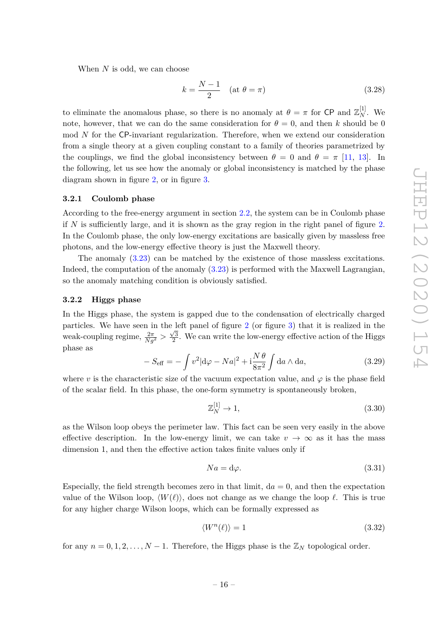When *N* is odd, we can choose

$$
k = \frac{N-1}{2} \quad (\text{at } \theta = \pi) \tag{3.28}
$$

to eliminate the anomalous phase, so there is no anomaly at  $\theta = \pi$  for CP and  $\mathbb{Z}_N^{[1]}$ . We note, however, that we can do the same consideration for  $\theta = 0$ , and then *k* should be 0 mod *N* for the CP-invariant regularization. Therefore, when we extend our consideration from a single theory at a given coupling constant to a family of theories parametrized by the couplings, we find the global inconsistency between  $\theta = 0$  and  $\theta = \pi$  [\[11,](#page-28-1) [13\]](#page-28-3). In the following, let us see how the anomaly or global inconsistency is matched by the phase diagram shown in figure [2,](#page-8-0) or in figure [3.](#page-10-0)

#### <span id="page-16-0"></span>**3.2.1 Coulomb phase**

According to the free-energy argument in section [2.2,](#page-6-0) the system can be in Coulomb phase if *N* is sufficiently large, and it is shown as the gray region in the right panel of figure [2.](#page-8-0) In the Coulomb phase, the only low-energy excitations are basically given by massless free photons, and the low-energy effective theory is just the Maxwell theory.

The anomaly [\(3.23\)](#page-15-0) can be matched by the existence of those massless excitations. Indeed, the computation of the anomaly [\(3.23\)](#page-15-0) is performed with the Maxwell Lagrangian, so the anomaly matching condition is obviously satisfied.

#### <span id="page-16-1"></span>**3.2.2 Higgs phase**

In the Higgs phase, the system is gapped due to the condensation of electrically charged particles. We have seen in the left panel of figure [2](#page-8-0) (or figure [3\)](#page-10-0) that it is realized in the weak-coupling regime,  $\frac{2\pi}{Ng^2} > \frac{\sqrt{3}}{2}$  $\frac{\sqrt{3}}{2}$ . We can write the low-energy effective action of the Higgs phase as

$$
-S_{\text{eff}} = -\int v^2 |\mathrm{d}\varphi - Na|^2 + i\frac{N\theta}{8\pi^2} \int \mathrm{d}a \wedge \mathrm{d}a,\tag{3.29}
$$

where *v* is the characteristic size of the vacuum expectation value, and  $\varphi$  is the phase field of the scalar field. In this phase, the one-form symmetry is spontaneously broken,

 $\mathbf{r}$ 

$$
\mathbb{Z}_N^{[1]} \to 1,\tag{3.30}
$$

as the Wilson loop obeys the perimeter law. This fact can be seen very easily in the above effective description. In the low-energy limit, we can take  $v \to \infty$  as it has the mass dimension 1, and then the effective action takes finite values only if

$$
Na = d\varphi. \tag{3.31}
$$

Especially, the field strength becomes zero in that limit,  $da = 0$ , and then the expectation value of the Wilson loop,  $\langle W(\ell) \rangle$ , does not change as we change the loop  $\ell$ . This is true for any higher charge Wilson loops, which can be formally expressed as

$$
\langle W^n(\ell) \rangle = 1 \tag{3.32}
$$

for any  $n = 0, 1, 2, \ldots, N - 1$ . Therefore, the Higgs phase is the  $\mathbb{Z}_N$  topological order.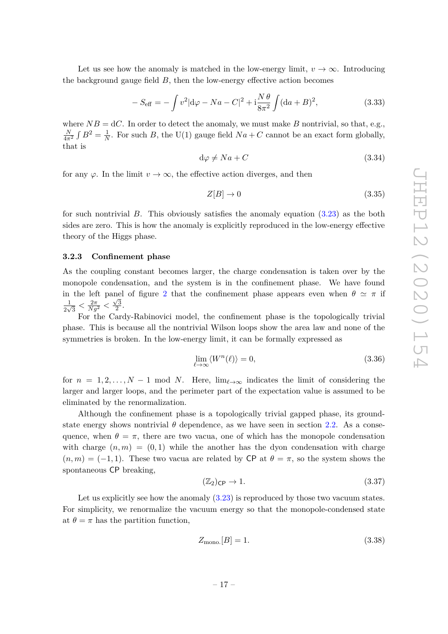Let us see how the anomaly is matched in the low-energy limit,  $v \to \infty$ . Introducing the background gauge field  $B$ , then the low-energy effective action becomes

$$
-S_{\text{eff}} = -\int v^2 |\mathrm{d}\varphi - Na - C|^2 + i \frac{N \theta}{8\pi^2} \int (\mathrm{d}a + B)^2, \tag{3.33}
$$

where  $NB = dC$ . In order to detect the anomaly, we must make *B* nontrivial, so that, e.g.,  $\frac{N}{4\pi^2}\int B^2=\frac{1}{N}$  $\frac{1}{N}$ . For such *B*, the U(1) gauge field  $Na + C$  cannot be an exact form globally, that is

$$
d\varphi \neq Na + C \tag{3.34}
$$

for any  $\varphi$ . In the limit  $v \to \infty$ , the effective action diverges, and then

$$
Z[B] \to 0 \tag{3.35}
$$

for such nontrivial *B*. This obviously satisfies the anomaly equation [\(3.23\)](#page-15-0) as the both sides are zero. This is how the anomaly is explicitly reproduced in the low-energy effective theory of the Higgs phase.

#### <span id="page-17-0"></span>**3.2.3 Confinement phase**

As the coupling constant becomes larger, the charge condensation is taken over by the monopole condensation, and the system is in the confinement phase. We have found in the left panel of figure [2](#page-8-0) that the confinement phase appears even when  $\theta \simeq \pi$  if 1  $\frac{1}{2\sqrt{3}} < \frac{2\pi}{Ng^2} < \frac{\sqrt{3}}{2}$  $\frac{\sqrt{3}}{2}$ .

For the Cardy-Rabinovici model, the confinement phase is the topologically trivial phase. This is because all the nontrivial Wilson loops show the area law and none of the symmetries is broken. In the low-energy limit, it can be formally expressed as

$$
\lim_{\ell \to \infty} \langle W^n(\ell) \rangle = 0,\tag{3.36}
$$

for  $n = 1, 2, \ldots, N - 1$  mod *N*. Here,  $\lim_{\ell \to \infty}$  indicates the limit of considering the larger and larger loops, and the perimeter part of the expectation value is assumed to be eliminated by the renormalization.

Although the confinement phase is a topologically trivial gapped phase, its groundstate energy shows nontrivial  $\theta$  dependence, as we have seen in section [2.2.](#page-6-0) As a consequence, when  $\theta = \pi$ , there are two vacua, one of which has the monopole condensation with charge  $(n, m) = (0, 1)$  while the another has the dyon condensation with charge  $(n, m) = (-1, 1)$ . These two vacua are related by CP at  $\theta = \pi$ , so the system shows the spontaneous CP breaking,

$$
(\mathbb{Z}_2)_{\mathsf{CP}} \to 1. \tag{3.37}
$$

Let us explicitly see how the anomaly  $(3.23)$  is reproduced by those two vacuum states. For simplicity, we renormalize the vacuum energy so that the monopole-condensed state at  $\theta = \pi$  has the partition function,

<span id="page-17-1"></span>
$$
Z_{\text{mono.}}[B] = 1.\tag{3.38}
$$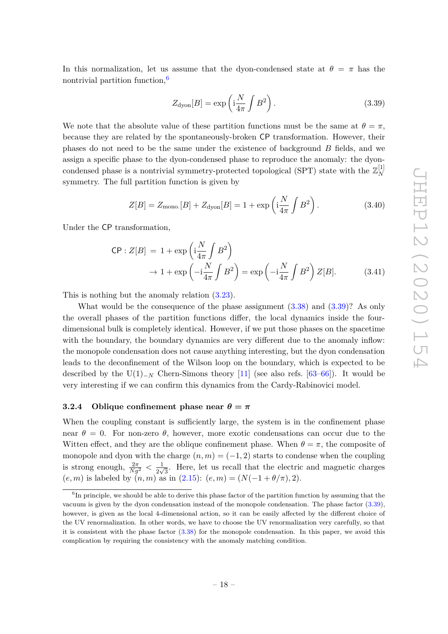In this normalization, let us assume that the dyon-condensed state at  $\theta = \pi$  has the nontrivial partition function,<sup>[6](#page-18-1)</sup>

<span id="page-18-2"></span>
$$
Z_{\rm dyon}[B] = \exp\left(i\frac{N}{4\pi} \int B^2\right). \tag{3.39}
$$

We note that the absolute value of these partition functions must be the same at  $\theta = \pi$ , because they are related by the spontaneously-broken CP transformation. However, their phases do not need to be the same under the existence of background *B* fields, and we assign a specific phase to the dyon-condensed phase to reproduce the anomaly: the dyoncondensed phase is a nontrivial symmetry-protected topological (SPT) state with the  $\mathbb{Z}_N^{[1]}$ *N* symmetry. The full partition function is given by

$$
Z[B] = Z_{\text{mono.}}[B] + Z_{\text{dyon}}[B] = 1 + \exp\left(i\frac{N}{4\pi} \int B^2\right). \tag{3.40}
$$

Under the CP transformation,

$$
\begin{aligned} \mathsf{CP}: Z[B] &= 1 + \exp\left(\mathrm{i}\frac{N}{4\pi} \int B^2\right) \\ &\to 1 + \exp\left(-\mathrm{i}\frac{N}{4\pi} \int B^2\right) = \exp\left(-\mathrm{i}\frac{N}{4\pi} \int B^2\right) Z[B]. \end{aligned} \tag{3.41}
$$

This is nothing but the anomaly relation [\(3.23\)](#page-15-0).

What would be the consequence of the phase assignment  $(3.38)$  and  $(3.39)$ ? As only the overall phases of the partition functions differ, the local dynamics inside the fourdimensional bulk is completely identical. However, if we put those phases on the spacetime with the boundary, the boundary dynamics are very different due to the anomaly inflow: the monopole condensation does not cause anything interesting, but the dyon condensation leads to the deconfinement of the Wilson loop on the boundary, which is expected to be described by the U(1)<sub>−*N*</sub> Chern-Simons theory [\[11\]](#page-28-1) (see also refs. [\[63–](#page-30-1)[66\]](#page-30-2)). It would be very interesting if we can confirm this dynamics from the Cardy-Rabinovici model.

# <span id="page-18-0"></span>**3.2.4** Oblique confinement phase near  $\theta = \pi$

When the coupling constant is sufficiently large, the system is in the confinement phase near  $\theta = 0$ . For non-zero  $\theta$ , however, more exotic condensations can occur due to the Witten effect, and they are the oblique confinement phase. When  $\theta = \pi$ , the composite of monopole and dyon with the charge  $(n, m) = (-1, 2)$  starts to condense when the coupling is strong enough,  $\frac{2\pi}{Ng^2} < \frac{1}{2\nu}$  $\frac{1}{2\sqrt{3}}$ . Here, let us recall that the electric and magnetic charges  $(e, m)$  is labeled by  $(n, m)$  as in  $(2.15)$ :  $(e, m) = (N(-1 + \theta/\pi), 2)$ .

<span id="page-18-1"></span><sup>&</sup>lt;sup>6</sup>In principle, we should be able to derive this phase factor of the partition function by assuming that the vacuum is given by the dyon condensation instead of the monopole condensation. The phase factor [\(3.39\)](#page-18-2), however, is given as the local 4-dimensional action, so it can be easily affected by the different choice of the UV renormalization. In other words, we have to choose the UV renormalization very carefully, so that it is consistent with the phase factor [\(3.38\)](#page-17-1) for the monopole condensation. In this paper, we avoid this complication by requiring the consistency with the anomaly matching condition.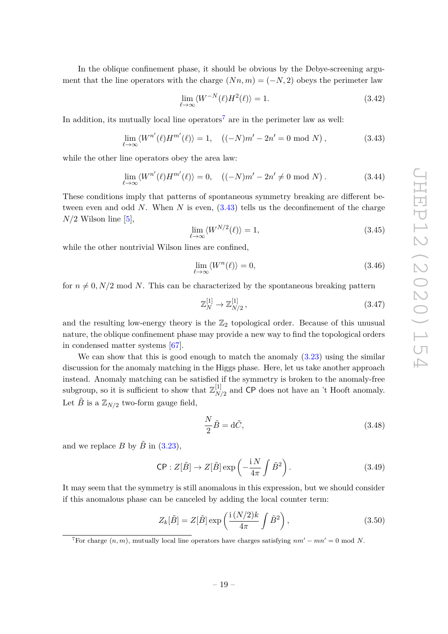In the oblique confinement phase, it should be obvious by the Debye-screening argument that the line operators with the charge  $(Nn, m) = (-N, 2)$  obeys the perimeter law

$$
\lim_{\ell \to \infty} \langle W^{-N}(\ell) H^2(\ell) \rangle = 1. \tag{3.42}
$$

In addition, its mutually local line operators<sup>[7](#page-19-0)</sup> are in the perimeter law as well:

<span id="page-19-1"></span>
$$
\lim_{\ell \to \infty} \langle W^{n'}(\ell) H^{m'}(\ell) \rangle = 1, \quad \left( (-N)m' - 2n' = 0 \mod N \right), \tag{3.43}
$$

while the other line operators obey the area law:

$$
\lim_{\ell \to \infty} \langle W^{n'}(\ell) H^{m'}(\ell) \rangle = 0, \quad \left( (-N)m' - 2n' \neq 0 \mod N \right). \tag{3.44}
$$

These conditions imply that patterns of spontaneous symmetry breaking are different between even and odd *N*. When *N* is even, [\(3.43\)](#page-19-1) tells us the deconfinement of the charge  $N/2$  Wilson line [\[5\]](#page-27-2),

$$
\lim_{\ell \to \infty} \langle W^{N/2}(\ell) \rangle = 1,\tag{3.45}
$$

while the other nontrivial Wilson lines are confined,

$$
\lim_{\ell \to \infty} \langle W^n(\ell) \rangle = 0,\tag{3.46}
$$

for  $n \neq 0, N/2 \text{ mod } N$ . This can be characterized by the spontaneous breaking pattern

$$
\mathbb{Z}_N^{[1]} \to \mathbb{Z}_{N/2}^{[1]},\tag{3.47}
$$

and the resulting low-energy theory is the  $\mathbb{Z}_2$  topological order. Because of this unusual nature, the oblique confinement phase may provide a new way to find the topological orders in condensed matter systems [\[67\]](#page-31-0).

We can show that this is good enough to match the anomaly  $(3.23)$  using the similar discussion for the anomaly matching in the Higgs phase. Here, let us take another approach instead. Anomaly matching can be satisfied if the symmetry is broken to the anomaly-free subgroup, so it is sufficient to show that  $\mathbb{Z}_N^{[1]}$  $N/2$  and CP does not have an 't Hooft anomaly. Let  $\tilde{B}$  is a  $\mathbb{Z}_{N/2}$  two-form gauge field,

$$
\frac{N}{2}\tilde{B} = d\tilde{C},\tag{3.48}
$$

and we replace *B* by  $\tilde{B}$  in [\(3.23\)](#page-15-0),

$$
\mathsf{CP}: Z[\tilde{B}] \to Z[\tilde{B}] \exp\left(-\frac{\mathrm{i} N}{4\pi} \int \tilde{B}^2\right). \tag{3.49}
$$

It may seem that the symmetry is still anomalous in this expression, but we should consider if this anomalous phase can be canceled by adding the local counter term:

$$
Z_k[\tilde{B}] = Z[\tilde{B}] \exp\left(\frac{\mathrm{i}\,(N/2)k}{4\pi} \int \tilde{B}^2\right),\tag{3.50}
$$

<span id="page-19-0"></span><sup>7</sup>For charge  $(n, m)$ , mutually local line operators have charges satisfying  $nm' - mn' = 0 \mod N$ .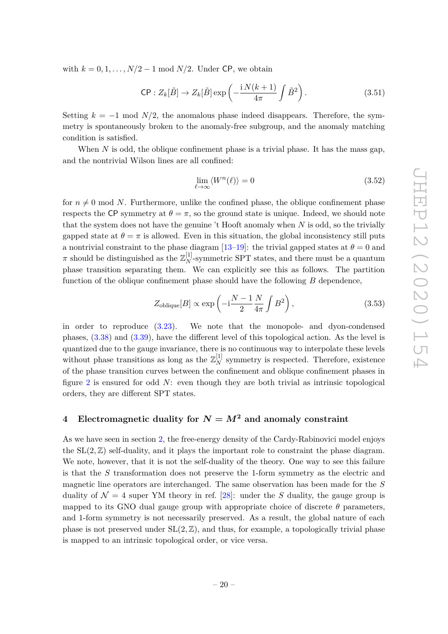with  $k = 0, 1, \ldots, N/2 - 1 \mod N/2$ . Under CP, we obtain

$$
\mathsf{CP}: Z_k[\tilde{B}] \to Z_k[\tilde{B}] \exp\left(-\frac{\mathrm{i}\, N(k+1)}{4\pi} \int \tilde{B}^2\right). \tag{3.51}
$$

Setting  $k = -1$  mod  $N/2$ , the anomalous phase indeed disappears. Therefore, the symmetry is spontaneously broken to the anomaly-free subgroup, and the anomaly matching condition is satisfied.

When *N* is odd, the oblique confinement phase is a trivial phase. It has the mass gap, and the nontrivial Wilson lines are all confined:

$$
\lim_{\ell \to \infty} \langle W^n(\ell) \rangle = 0 \tag{3.52}
$$

for  $n \neq 0$  mod *N*. Furthermore, unlike the confined phase, the oblique confinement phase respects the CP symmetry at  $\theta = \pi$ , so the ground state is unique. Indeed, we should note that the system does not have the genuine 't Hooft anomaly when *N* is odd, so the trivially gapped state at  $\theta = \pi$  is allowed. Even in this situation, the global inconsistency still puts a nontrivial constraint to the phase diagram [\[13](#page-28-3)[–19\]](#page-28-4): the trivial gapped states at  $\theta = 0$  and  $\pi$  should be distinguished as the  $\mathbb{Z}_N^{[1]}$ -symmetric SPT states, and there must be a quantum phase transition separating them. We can explicitly see this as follows. The partition function of the oblique confinement phase should have the following *B* dependence,

$$
Z_{\text{oblique}}[B] \propto \exp\left(-i\frac{N-1}{2}\frac{N}{4\pi}\int B^2\right),\tag{3.53}
$$

in order to reproduce [\(3.23\)](#page-15-0). We note that the monopole- and dyon-condensed phases, [\(3.38\)](#page-17-1) and [\(3.39\)](#page-18-2), have the different level of this topological action. As the level is quantized due to the gauge invariance, there is no continuous way to interpolate these levels without phase transitions as long as the  $\mathbb{Z}_N^{[1]}$  symmetry is respected. Therefore, existence of the phase transition curves between the confinement and oblique confinement phases in figure [2](#page-8-0) is ensured for odd *N*: even though they are both trivial as intrinsic topological orders, they are different SPT states.

# <span id="page-20-0"></span>**4** Electromagnetic duality for  $N = M^2$  and anomaly constraint

As we have seen in section [2,](#page-4-0) the free-energy density of the Cardy-Rabinovici model enjoys the  $SL(2, \mathbb{Z})$  self-duality, and it plays the important role to constraint the phase diagram. We note, however, that it is not the self-duality of the theory. One way to see this failure is that the *S* transformation does not preserve the 1-form symmetry as the electric and magnetic line operators are interchanged. The same observation has been made for the *S* duality of  $\mathcal{N} = 4$  super YM theory in ref. [\[28\]](#page-28-7): under the *S* duality, the gauge group is mapped to its GNO dual gauge group with appropriate choice of discrete  $\theta$  parameters, and 1-form symmetry is not necessarily preserved. As a result, the global nature of each phase is not preserved under  $SL(2, \mathbb{Z})$ , and thus, for example, a topologically trivial phase is mapped to an intrinsic topological order, or vice versa.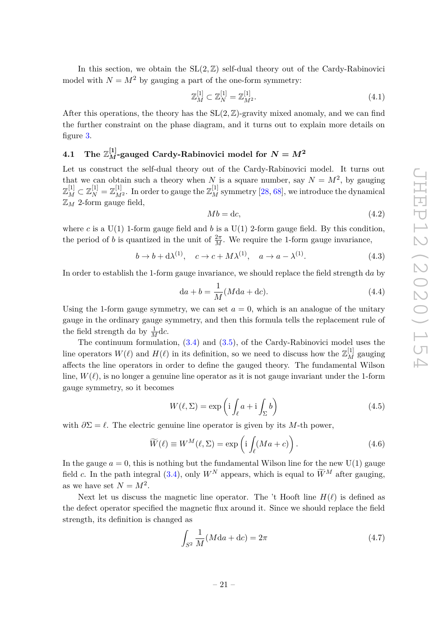In this section, we obtain the  $SL(2, \mathbb{Z})$  self-dual theory out of the Cardy-Rabinovici model with  $N = M^2$  by gauging a part of the one-form symmetry:

$$
\mathbb{Z}_M^{[1]} \subset \mathbb{Z}_N^{[1]} = \mathbb{Z}_{M^2}^{[1]}.\tag{4.1}
$$

After this operations, the theory has the  $SL(2, \mathbb{Z})$ -gravity mixed anomaly, and we can find the further constraint on the phase diagram, and it turns out to explain more details on figure [3.](#page-10-0)

# <span id="page-21-0"></span> $4.1$  The  $\mathbb{Z}_{M}^{[1]}$ -gauged Cardy-Rabinovici model for  $N=M^{2}$

Let us construct the self-dual theory out of the Cardy-Rabinovici model. It turns out that we can obtain such a theory when *N* is a square number, say  $N = M^2$ , by gauging  $\mathbb{Z}_M^{[1]}\subset \mathbb{Z}_N^{[1]}=\mathbb{Z}_{M^2}^{[1]}.$  In order to gauge the  $\mathbb{Z}_M^{[1]}$  symmetry  $[28,68],$  $[28,68],$  $[28,68],$  we introduce the dynamical  $\mathbb{Z}_M$  2-form gauge field,

$$
Mb = dc,\tag{4.2}
$$

where *c* is a U(1) 1-form gauge field and *b* is a U(1) 2-form gauge field. By this condition, the period of *b* is quantized in the unit of  $\frac{2\pi}{M}$ . We require the 1-form gauge invariance,

$$
b \to b + d\lambda^{(1)}, \quad c \to c + M\lambda^{(1)}, \quad a \to a - \lambda^{(1)}.
$$
 (4.3)

In order to establish the 1-form gauge invariance, we should replace the field strength d*a* by

$$
da + b = \frac{1}{M}(Mda + dc). \tag{4.4}
$$

Using the 1-form gauge symmetry, we can set  $a = 0$ , which is an analogue of the unitary gauge in the ordinary gauge symmetry, and then this formula tells the replacement rule of the field strength da by  $\frac{1}{M}$ dc.

The continuum formulation, [\(3.4\)](#page-12-4) and [\(3.5\)](#page-13-0), of the Cardy-Rabinovici model uses the line operators  $W(\ell)$  and  $H(\ell)$  in its definition, so we need to discuss how the  $\mathbb{Z}_M^{[1]}$  gauging affects the line operators in order to define the gauged theory. The fundamental Wilson line,  $W(\ell)$ , is no longer a genuine line operator as it is not gauge invariant under the 1-form gauge symmetry, so it becomes

$$
W(\ell, \Sigma) = \exp\left(i \int_{\ell} a + i \int_{\Sigma} b\right)
$$
 (4.5)

with  $\partial \Sigma = \ell$ . The electric genuine line operator is given by its *M*-th power,

$$
\widetilde{W}(\ell) \equiv W^M(\ell, \Sigma) = \exp\left(i \int_{\ell} (Ma + c)\right). \tag{4.6}
$$

In the gauge  $a = 0$ , this is nothing but the fundamental Wilson line for the new U(1) gauge field *c*. In the path integral [\(3.4\)](#page-12-4), only  $W^N$  appears, which is equal to  $\widetilde{W}^M$  after gauging, as we have set  $N = M^2$ .

Next let us discuss the magnetic line operator. The 't Hooft line  $H(\ell)$  is defined as the defect operator specified the magnetic flux around it. Since we should replace the field strength, its definition is changed as

$$
\int_{S^2} \frac{1}{M} (M \mathrm{d} a + \mathrm{d} c) = 2\pi \tag{4.7}
$$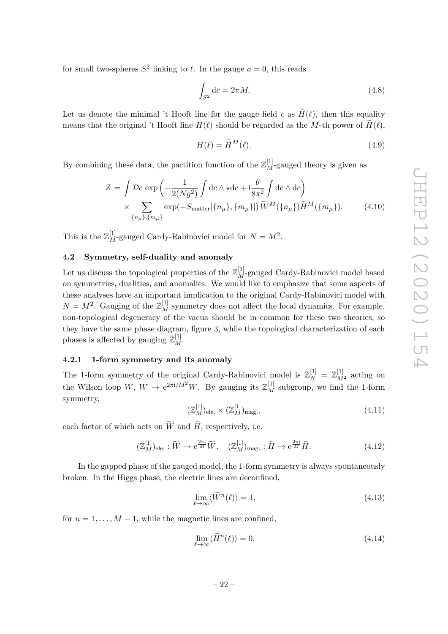for small two-spheres  $S^2$  linking to  $\ell$ . In the gauge  $a = 0$ , this reads

$$
\int_{S^2} \mathrm{d}c = 2\pi M. \tag{4.8}
$$

Let us denote the minimal 't Hooft line for the gauge field *c* as  $\widetilde{H}(\ell)$ , then this equality means that the original 't Hooft line  $H(\ell)$  should be regarded as the *M*-th power of  $H(\ell)$ ,

$$
H(\ell) = \widetilde{H}^M(\ell). \tag{4.9}
$$

By combining these data, the partition function of the  $\mathbb{Z}_M^{[1]}$ -gauged theory is given as

<span id="page-22-2"></span>
$$
Z = \int \mathcal{D}c \exp\left(-\frac{1}{2(Ng^2)} \int \mathrm{d}c \wedge \star \mathrm{d}c + \mathrm{i} \frac{\theta}{8\pi^2} \int \mathrm{d}c \wedge \mathrm{d}c\right)
$$
  
 
$$
\times \sum_{\{n_\mu\}, \{m_\mu\}} \exp(-S_{\text{matter}}[\{n_\mu\}, \{m_\mu\}]) \widetilde{W}^M(\{n_\mu\}) \widetilde{H}^M(\{m_\mu\}). \tag{4.10}
$$

This is the  $\mathbb{Z}_M^{[1]}$ -gauged Cardy-Rabinovici model for  $N = M^2$ .

#### <span id="page-22-0"></span>**4.2 Symmetry, self-duality and anomaly**

Let us discuss the topological properties of the  $\mathbb{Z}_M^{[1]}$ -gauged Cardy-Rabinovici model based on symmetries, dualities, and anomalies. We would like to emphasize that some aspects of these analyses have an important implication to the original Cardy-Rabinovici model with  $N = M^2$ . Gauging of the  $\mathbb{Z}_M^{[1]}$  symmetry does not affect the local dynamics. For example, non-topological degeneracy of the vacua should be in common for these two theories, so they have the same phase diagram, figure [3,](#page-10-0) while the topological characterization of each phases is affected by gauging  $\mathbb{Z}_M^{[1]}$ .

#### <span id="page-22-1"></span>**4.2.1 1-form symmetry and its anomaly**

The 1-form symmetry of the original Cardy-Rabinovici model is  $\mathbb{Z}_N^{[1]} = \mathbb{Z}_{M^2}^{[1]}$  acting on the Wilson loop  $W, W \to e^{2\pi i/M^2}W$ . By gauging its  $\mathbb{Z}_M^{[1]}$  subgroup, we find the 1-form symmetry,

$$
(\mathbb{Z}_M^{[1]})_{\text{ele.}} \times (\mathbb{Z}_M^{[1]})_{\text{mag.}},\tag{4.11}
$$

each factor of which acts on  $\widetilde{W}$  and  $\widetilde{H}$ , respectively, i.e.

$$
(\mathbb{Z}_M^{[1]})_{\text{ele.}} : \widetilde{W} \to \mathrm{e}^{\frac{2\pi \mathrm{i}}{M}} \widetilde{W}, \quad (\mathbb{Z}_M^{[1]})_{\text{mag.}} : \widetilde{H} \to \mathrm{e}^{\frac{2\pi \mathrm{i}}{M}} \widetilde{H}.
$$
 (4.12)

In the gapped phase of the gauged model, the 1-form symmetry is always spontaneously broken. In the Higgs phase, the electric lines are deconfined,

$$
\lim_{\ell \to \infty} \langle \widetilde{W}^n(\ell) \rangle = 1,\tag{4.13}
$$

for  $n = 1, \ldots, M - 1$ , while the magnetic lines are confined.

$$
\lim_{\ell \to \infty} \langle \tilde{H}^n(\ell) \rangle = 0. \tag{4.14}
$$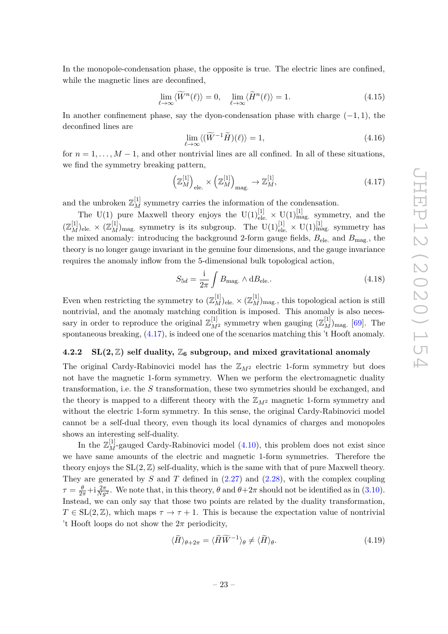In the monopole-condensation phase, the opposite is true. The electric lines are confined, while the magnetic lines are deconfined,

$$
\lim_{\ell \to \infty} \langle \widetilde{W}^n(\ell) \rangle = 0, \quad \lim_{\ell \to \infty} \langle \widetilde{H}^n(\ell) \rangle = 1.
$$
\n(4.15)

In another confinement phase, say the dyon-condensation phase with charge (−1*,* 1), the deconfined lines are

$$
\lim_{\ell \to \infty} \langle (\widetilde{W}^{-1}\widetilde{H})(\ell) \rangle = 1,\tag{4.16}
$$

for  $n = 1, \ldots, M - 1$ , and other nontrivial lines are all confined. In all of these situations, we find the symmetry breaking pattern,

<span id="page-23-1"></span>
$$
\left(\mathbb{Z}_{M}^{[1]}\right)_{\text{ele.}} \times \left(\mathbb{Z}_{M}^{[1]}\right)_{\text{mag.}} \to \mathbb{Z}_{M}^{[1]},\tag{4.17}
$$

and the unbroken  $\mathbb{Z}_M^{[1]}$  symmetry carries the information of the condensation.

The U(1) pure Maxwell theory enjoys the U(1)<sup>[1]</sup><sub>ele.</sub>  $\times$  U(1)<sup>[1]</sup><sub>mag.</sub> symmetry, and the  $(\mathbb{Z}_M^{[1]})_{\text{ele.}} \times (\mathbb{Z}_M^{[1]})_{\text{mag.}}$  symmetry is its subgroup. The  $U(1)_{\text{ele.}}^{[1]} \times U(1)_{\text{mag.}}^{[1]}$  symmetry has the mixed anomaly: introducing the background 2-form gauge fields,  $B_{\text{ele}}$  and  $B_{\text{mag}}$ , the theory is no longer gauge invariant in the genuine four dimensions, and the gauge invariance requires the anomaly inflow from the 5-dimensional bulk topological action,

$$
S_{5d} = \frac{\mathrm{i}}{2\pi} \int B_{\text{mag.}} \wedge \mathrm{d}B_{\text{ele.}}.\tag{4.18}
$$

Even when restricting the symmetry to  $(\mathbb{Z}_M^{[1]})_{\text{ele.}} \times (\mathbb{Z}_M^{[1]})_{\text{mag.}}$ , this topological action is still nontrivial, and the anomaly matching condition is imposed. This anomaly is also necessary in order to reproduce the original  $\mathbb{Z}_{M^2}^{[1]}$  symmetry when gauging  $(\mathbb{Z}_M^{[1]})_{\text{mag.}}$  [\[69\]](#page-31-2). The spontaneous breaking, [\(4.17\)](#page-23-1), is indeed one of the scenarios matching this 't Hooft anomaly.

#### <span id="page-23-0"></span>**4.2.2 SL(2, Z)** self duality,  $\mathbb{Z}_6$  subgroup, and mixed gravitational anomaly

The original Cardy-Rabinovici model has the  $\mathbb{Z}_{M^2}$  electric 1-form symmetry but does not have the magnetic 1-form symmetry. When we perform the electromagnetic duality transformation, i.e. the *S* transformation, these two symmetries should be exchanged, and the theory is mapped to a different theory with the  $\mathbb{Z}_{M^2}$  magnetic 1-form symmetry and without the electric 1-form symmetry. In this sense, the original Cardy-Rabinovici model cannot be a self-dual theory, even though its local dynamics of charges and monopoles shows an interesting self-duality.

In the  $\mathbb{Z}_M^{[1]}$ -gauged Cardy-Rabinovici model [\(4.10\)](#page-22-2), this problem does not exist since we have same amounts of the electric and magnetic 1-form symmetries. Therefore the theory enjoys the  $SL(2, \mathbb{Z})$  self-duality, which is the same with that of pure Maxwell theory. They are generated by *S* and *T* defined in [\(2.27\)](#page-10-1) and [\(2.28\)](#page-10-2), with the complex coupling  $\tau = \frac{\theta}{2\pi} + i \frac{2\pi}{Ng^2}$ . We note that, in this theory,  $\theta$  and  $\theta + 2\pi$  should not be identified as in [\(3.10\)](#page-13-1). Instead, we can only say that those two points are related by the duality transformation,  $T \in SL(2, \mathbb{Z})$ , which maps  $\tau \to \tau + 1$ . This is because the expectation value of nontrivial 't Hooft loops do not show the  $2\pi$  periodicity.

$$
\langle \widetilde{H} \rangle_{\theta + 2\pi} = \langle \widetilde{H} \widetilde{W}^{-1} \rangle_{\theta} \neq \langle \widetilde{H} \rangle_{\theta}.
$$
\n(4.19)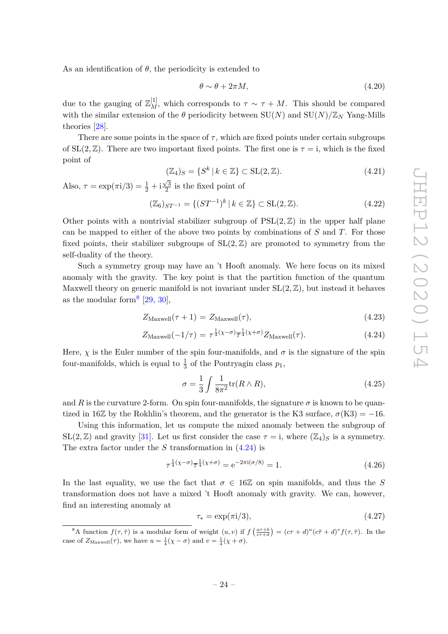As an identification of  $\theta$ , the periodicity is extended to

$$
\theta \sim \theta + 2\pi M, \tag{4.20}
$$

due to the gauging of  $\mathbb{Z}_{M}^{[1]}$ , which corresponds to  $\tau \sim \tau + M$ . This should be compared with the similar extension of the  $\theta$  periodicity between  $SU(N)$  and  $SU(N)/\mathbb{Z}_N$  Yang-Mills theories [\[28\]](#page-28-7).

There are some points in the space of  $\tau$ , which are fixed points under certain subgroups of  $SL(2, \mathbb{Z})$ . There are two important fixed points. The first one is  $\tau = i$ , which is the fixed point of

$$
(\mathbb{Z}_4)_S = \{ S^k \mid k \in \mathbb{Z} \} \subset \text{SL}(2, \mathbb{Z}). \tag{4.21}
$$

Also,  $\tau = \exp(\pi i/3) = \frac{1}{2} + i$  $\sqrt{3}$  $\frac{\sqrt{3}}{2}$  is the fixed point of

$$
(\mathbb{Z}_6)_{ST^{-1}} = \{ (ST^{-1})^k \mid k \in \mathbb{Z} \} \subset SL(2, \mathbb{Z}). \tag{4.22}
$$

Other points with a nontrivial stabilizer subgroup of  $PSL(2, \mathbb{Z})$  in the upper half plane can be mapped to either of the above two points by combinations of *S* and *T*. For those fixed points, their stabilizer subgroups of  $SL(2, \mathbb{Z})$  are promoted to symmetry from the self-duality of the theory.

Such a symmetry group may have an 't Hooft anomaly. We here focus on its mixed anomaly with the gravity. The key point is that the partition function of the quantum Maxwell theory on generic manifold is not invariant under  $SL(2, \mathbb{Z})$ , but instead it behaves as the modular form<sup>[8](#page-24-0)</sup>  $[29, 30]$  $[29, 30]$  $[29, 30]$ ,

<span id="page-24-1"></span>
$$
Z_{\text{Maxwell}}(\tau + 1) = Z_{\text{Maxwell}}(\tau), \tag{4.23}
$$

$$
Z_{\text{Maxwell}}(-1/\tau) = \tau^{\frac{1}{4}(\chi-\sigma)}\overline{\tau}^{\frac{1}{4}(\chi+\sigma)}Z_{\text{Maxwell}}(\tau). \tag{4.24}
$$

Here,  $\chi$  is the Euler number of the spin four-manifolds, and  $\sigma$  is the signature of the spin four-manifolds, which is equal to  $\frac{1}{3}$  of the Pontryagin class  $p_1$ ,

$$
\sigma = \frac{1}{3} \int \frac{1}{8\pi^2} \text{tr}(R \wedge R), \qquad (4.25)
$$

and *R* is the curvature 2-form. On spin four-manifolds, the signature  $\sigma$  is known to be quantized in 16 $\mathbb{Z}$  by the Rokhlin's theorem, and the generator is the K3 surface,  $\sigma(K3) = -16$ .

Using this information, let us compute the mixed anomaly between the subgroup of  $SL(2,\mathbb{Z})$  and gravity [\[31\]](#page-29-2). Let us first consider the case  $\tau = i$ , where  $(\mathbb{Z}_4)_S$  is a symmetry. The extra factor under the *S* transformation in [\(4.24\)](#page-24-1) is

$$
\tau^{\frac{1}{4}(\chi-\sigma)}\overline{\tau}^{\frac{1}{4}(\chi+\sigma)} = e^{-2\pi i(\sigma/8)} = 1.
$$
 (4.26)

In the last equality, we use the fact that  $\sigma \in 16\mathbb{Z}$  on spin manifolds, and thus the *S* transformation does not have a mixed 't Hooft anomaly with gravity. We can, however, find an interesting anomaly at

$$
\tau_* = \exp(\pi i/3),\tag{4.27}
$$

<span id="page-24-0"></span><sup>&</sup>lt;sup>8</sup>A function  $f(\tau, \overline{\tau})$  is a modular form of weight  $(u, v)$  if  $f\left(\frac{a\tau+b}{c\tau+d}\right) = (c\tau+d)^u(c\overline{\tau}+d)^v f(\tau, \overline{\tau})$ . In the case of  $Z_{\text{Maxwell}}(\tau)$ , we have  $u = \frac{1}{4}(\chi - \sigma)$  and  $v = \frac{1}{4}(\chi + \sigma)$ .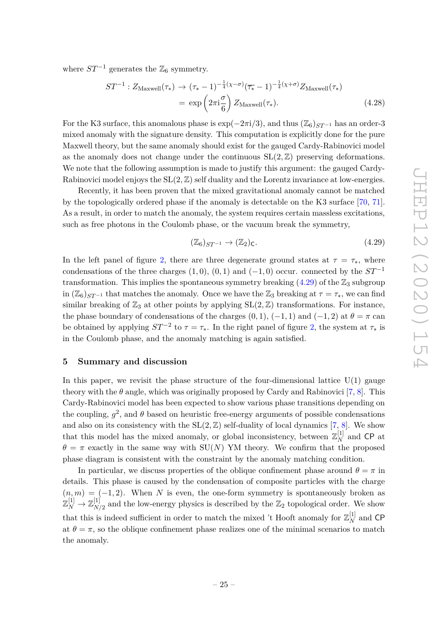where  $ST^{-1}$  generates the  $\mathbb{Z}_6$  symmetry.

$$
ST^{-1}: Z_{\text{Maxwell}}(\tau_*) \to (\tau_* - 1)^{-\frac{1}{4}(\chi - \sigma)} (\overline{\tau_*} - 1)^{-\frac{1}{4}(\chi + \sigma)} Z_{\text{Maxwell}}(\tau_*)
$$

$$
= \exp\left(2\pi i \frac{\sigma}{6}\right) Z_{\text{Maxwell}}(\tau_*). \tag{4.28}
$$

For the K3 surface, this anomalous phase is  $\exp(-2\pi i/3)$ , and thus  $(\mathbb{Z}_6)_{ST^{-1}}$  has an order-3 mixed anomaly with the signature density. This computation is explicitly done for the pure Maxwell theory, but the same anomaly should exist for the gauged Cardy-Rabinovici model as the anomaly does not change under the continuous  $SL(2, \mathbb{Z})$  preserving deformations. We note that the following assumption is made to justify this argument: the gauged Cardy-Rabinovici model enjoys the  $SL(2, \mathbb{Z})$  self duality and the Lorentz invariance at low-energies.

Recently, it has been proven that the mixed gravitational anomaly cannot be matched by the topologically ordered phase if the anomaly is detectable on the K3 surface [\[70,](#page-31-3) [71\]](#page-31-4). As a result, in order to match the anomaly, the system requires certain massless excitations, such as free photons in the Coulomb phase, or the vacuum break the symmetry,

<span id="page-25-1"></span>
$$
(\mathbb{Z}_6)_{ST^{-1}} \to (\mathbb{Z}_2)_{\mathsf{C}}.\tag{4.29}
$$

In the left panel of figure [2,](#page-8-0) there are three degenerate ground states at  $\tau = \tau_*$ , where condensations of the three charges  $(1,0)$ ,  $(0,1)$  and  $(-1,0)$  occur. connected by the  $ST^{-1}$ transformation. This implies the spontaneous symmetry breaking  $(4.29)$  of the  $\mathbb{Z}_3$  subgroup in  $(\mathbb{Z}_6)_{ST^{-1}}$  that matches the anomaly. Once we have the  $\mathbb{Z}_3$  breaking at  $\tau = \tau_*$ , we can find similar breaking of  $\mathbb{Z}_3$  at other points by applying  $SL(2,\mathbb{Z})$  transformations. For instance, the phase boundary of condensations of the charges  $(0, 1)$ ,  $(-1, 1)$  and  $(-1, 2)$  at  $\theta = \pi$  can be obtained by applying  $ST^{-2}$  to  $\tau = \tau_*$ . In the right panel of figure [2,](#page-8-0) the system at  $\tau_*$  is in the Coulomb phase, and the anomaly matching is again satisfied.

# <span id="page-25-0"></span>**5 Summary and discussion**

In this paper, we revisit the phase structure of the four-dimensional lattice  $U(1)$  gauge theory with the  $\theta$  angle, which was originally proposed by Cardy and Rabinovici [\[7,](#page-27-4) [8\]](#page-27-5). This Cardy-Rabinovici model has been expected to show various phase transitions depending on the coupling,  $g^2$ , and  $\theta$  based on heuristic free-energy arguments of possible condensations and also on its consistency with the  $SL(2, \mathbb{Z})$  self-duality of local dynamics [\[7,](#page-27-4) [8\]](#page-27-5). We show that this model has the mixed anomaly, or global inconsistency, between  $\mathbb{Z}_N^{[1]}$  and CP at  $\theta = \pi$  exactly in the same way with SU(*N*) YM theory. We confirm that the proposed phase diagram is consistent with the constraint by the anomaly matching condition.

In particular, we discuss properties of the oblique confinement phase around  $\theta = \pi$  in details. This phase is caused by the condensation of composite particles with the charge  $(n, m) = (-1, 2)$ . When *N* is even, the one-form symmetry is spontaneously broken as  $\mathbb{Z}_N^{[1]}\rightarrow \mathbb{Z}_{N/2}^{[1]}$  $\mathbb{R}^{11}_{N/2}$  and the low-energy physics is described by the  $\mathbb{Z}_2$  topological order. We show that this is indeed sufficient in order to match the mixed 't Hooft anomaly for  $\mathbb{Z}_N^{[1]}$  and CP at  $\theta = \pi$ , so the oblique confinement phase realizes one of the minimal scenarios to match the anomaly.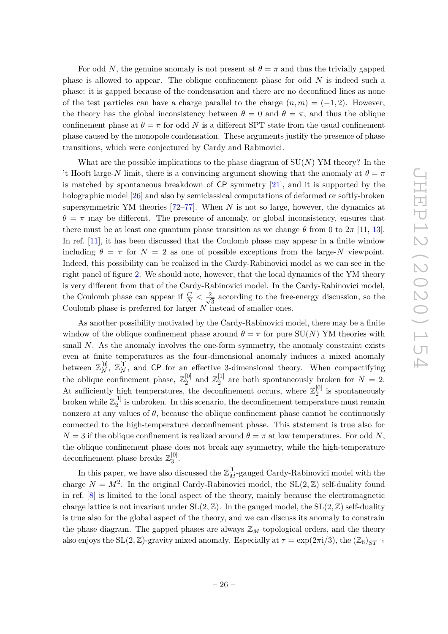For odd *N*, the genuine anomaly is not present at  $\theta = \pi$  and thus the trivially gapped phase is allowed to appear. The oblique confinement phase for odd *N* is indeed such a phase: it is gapped because of the condensation and there are no deconfined lines as none of the test particles can have a charge parallel to the charge  $(n, m) = (-1, 2)$ . However, the theory has the global inconsistency between  $\theta = 0$  and  $\theta = \pi$ , and thus the oblique confinement phase at  $\theta = \pi$  for odd *N* is a different SPT state from the usual confinement phase caused by the monopole condensation. These arguments justify the presence of phase transitions, which were conjectured by Cardy and Rabinovici.

What are the possible implications to the phase diagram of SU(*N*) YM theory? In the 't Hooft large-*N* limit, there is a convincing argument showing that the anomaly at  $\theta = \pi$ is matched by spontaneous breakdown of CP symmetry [\[21\]](#page-28-8), and it is supported by the holographic model [\[26\]](#page-28-12) and also by semiclassical computations of deformed or softly-broken supersymmetric YM theories [\[72](#page-31-5)[–77\]](#page-31-6). When *N* is not so large, however, the dynamics at  $\theta = \pi$  may be different. The presence of anomaly, or global inconsistency, ensures that there must be at least one quantum phase transition as we change  $\theta$  from 0 to  $2\pi$  [\[11,](#page-28-1) [13\]](#page-28-3). In ref. [\[11\]](#page-28-1), it has been discussed that the Coulomb phase may appear in a finite window including  $\theta = \pi$  for  $N = 2$  as one of possible exceptions from the large-*N* viewpoint. Indeed, this possibility can be realized in the Cardy-Rabinovici model as we can see in the right panel of figure [2.](#page-8-0) We should note, however, that the local dynamics of the YM theory is very different from that of the Cardy-Rabinovici model. In the Cardy-Rabinovici model, the Coulomb phase can appear if  $\frac{C}{N} < \frac{2}{\sqrt{N}}$  $\frac{1}{3}$  according to the free-energy discussion, so the Coulomb phase is preferred for larger *N* instead of smaller ones.

As another possibility motivated by the Cardy-Rabinovici model, there may be a finite window of the oblique confinement phase around  $\theta = \pi$  for pure SU(N) YM theories with small *N*. As the anomaly involves the one-form symmetry, the anomaly constraint exists even at finite temperatures as the four-dimensional anomaly induces a mixed anomaly between  $\mathbb{Z}_N^{[0]}$ ,  $\mathbb{Z}_N^{[1]}$ , and CP for an effective 3-dimensional theory. When compactifying the oblique confinement phase,  $\mathbb{Z}_2^{[0]}$  $\mathbb{Z}_2^{[0]}$  and  $\mathbb{Z}_2^{[1]}$  $_2^{[1]}$  are both spontaneously broken for  $N = 2$ . At sufficiently high temperatures, the deconfinement occurs, where  $\mathbb{Z}_2^{[0]}$  $2^{\binom{[0]}{2}}$  is spontaneously broken while  $\mathbb{Z}_2^{[1]}$  $\frac{1}{2}$  is unbroken. In this scenario, the deconfinement temperature must remain nonzero at any values of  $\theta$ , because the oblique confinement phase cannot be continuously connected to the high-temperature deconfinement phase. This statement is true also for  $N = 3$  if the oblique confinement is realized around  $\theta = \pi$  at low temperatures. For odd *N*, the oblique confinement phase does not break any symmetry, while the high-temperature deconfinement phase breaks  $\mathbb{Z}_3^{[0]}$ լսյ<br>3

In this paper, we have also discussed the  $\mathbb{Z}_M^{[1]}$ -gauged Cardy-Rabinovici model with the charge  $N = M^2$ . In the original Cardy-Rabinovici model, the  $SL(2, \mathbb{Z})$  self-duality found in ref. [\[8\]](#page-27-5) is limited to the local aspect of the theory, mainly because the electromagnetic charge lattice is not invariant under  $SL(2, \mathbb{Z})$ . In the gauged model, the  $SL(2, \mathbb{Z})$  self-duality is true also for the global aspect of the theory, and we can discuss its anomaly to constrain the phase diagram. The gapped phases are always  $\mathbb{Z}_M$  topological orders, and the theory also enjoys the  $SL(2, \mathbb{Z})$ -gravity mixed anomaly. Especially at  $\tau = \exp(2\pi i/3)$ , the  $(\mathbb{Z}_6)_{ST^{-1}}$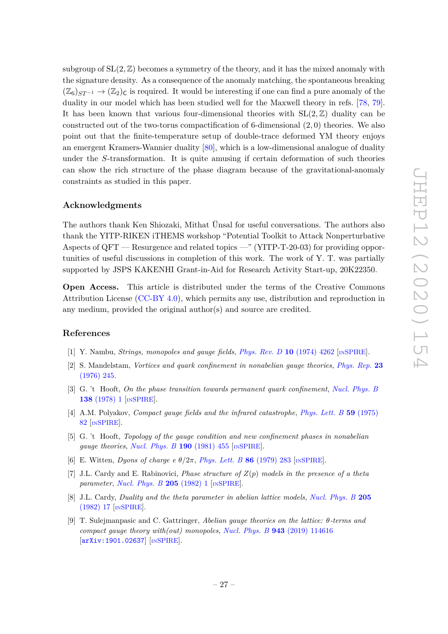subgroup of  $SL(2, \mathbb{Z})$  becomes a symmetry of the theory, and it has the mixed anomaly with the signature density. As a consequence of the anomaly matching, the spontaneous breaking  $(\mathbb{Z}_6)_{ST^{-1}} \to (\mathbb{Z}_2)_{C}$  is required. It would be interesting if one can find a pure anomaly of the duality in our model which has been studied well for the Maxwell theory in refs. [\[78,](#page-31-7) [79\]](#page-31-8). It has been known that various four-dimensional theories with  $SL(2, \mathbb{Z})$  duality can be constructed out of the two-torus compactification of 6-dimensional (2*,* 0) theories. We also point out that the finite-temperature setup of double-trace deformed YM theory enjoys an emergent Kramers-Wannier duality [\[80\]](#page-31-9), which is a low-dimensional analogue of duality under the *S*-transformation. It is quite amusing if certain deformation of such theories can show the rich structure of the phase diagram because of the gravitational-anomaly constraints as studied in this paper.

# **Acknowledgments**

The authors thank Ken Shiozaki, Mithat Ünsal for useful conversations. The authors also thank the YITP-RIKEN iTHEMS workshop "Potential Toolkit to Attack Nonperturbative Aspects of QFT — Resurgence and related topics —" (YITP-T-20-03) for providing opportunities of useful discussions in completion of this work. The work of Y. T. was partially supported by JSPS KAKENHI Grant-in-Aid for Research Activity Start-up, 20K22350.

**Open Access.** This article is distributed under the terms of the Creative Commons Attribution License [\(CC-BY 4.0\)](https://creativecommons.org/licenses/by/4.0/), which permits any use, distribution and reproduction in any medium, provided the original author(s) and source are credited.

# **References**

- <span id="page-27-0"></span>[1] Y. Nambu, *Strings, monopoles and gauge fields*, *[Phys. Rev. D](https://doi.org/10.1103/PhysRevD.10.4262)* **10** (1974) 4262 [IN[SPIRE](https://inspirehep.net/search?p=find+J%20%22Phys.Rev.%2CD10%2C4262%22)].
- [2] S. Mandelstam, *Vortices and quark confinement in nonabelian gauge theories*, *[Phys. Rep.](http://dx.doi.org/10.1016/0370-1573(76)90043-0)* **23** [\(1976\) 245.](http://dx.doi.org/10.1016/0370-1573(76)90043-0)
- [3] G. 't Hooft, *On the phase transition towards permanent quark confinement*, *[Nucl. Phys. B](https://doi.org/10.1016/0550-3213(78)90153-0)* **138** [\(1978\) 1](https://doi.org/10.1016/0550-3213(78)90153-0) [IN[SPIRE](https://inspirehep.net/search?p=find+J%20%22Nucl.Phys.%2CB138%2C1%22)].
- <span id="page-27-1"></span>[4] A.M. Polyakov, *Compact gauge fields and the infrared catastrophe*, *[Phys. Lett. B](https://doi.org/10.1016/0370-2693(75)90162-8)* **59** (1975) [82](https://doi.org/10.1016/0370-2693(75)90162-8) [IN[SPIRE](https://inspirehep.net/search?p=find+J%20%22Phys.Lett.%2CB59%2C82%22)].
- <span id="page-27-2"></span>[5] G. 't Hooft, *Topology of the gauge condition and new confinement phases in nonabelian gauge theories*, *[Nucl. Phys. B](https://doi.org/10.1016/0550-3213(81)90442-9)* **190** (1981) 455 [IN[SPIRE](https://inspirehep.net/search?p=find+J%20%22Nucl.Phys.%2CB190%2C455%22)].
- <span id="page-27-3"></span>[6] E. Witten, *Dyons of charge e θ/*2*π*, *[Phys. Lett. B](https://doi.org/10.1016/0370-2693(79)90838-4)* **86** (1979) 283 [IN[SPIRE](https://inspirehep.net/search?p=find+J%20%22Phys.Lett.%2CB86%2C283%22)].
- <span id="page-27-4"></span>[7] J.L. Cardy and E. Rabinovici, *Phase structure of Z*(*p*) *models in the presence of a theta parameter*, *[Nucl. Phys. B](https://doi.org/10.1016/0550-3213(82)90463-1)* **205** (1982) 1 [IN[SPIRE](https://inspirehep.net/search?p=find+J%20%22Nucl.Phys.%2CB205%2C1%22)].
- <span id="page-27-5"></span>[8] J.L. Cardy, *Duality and the theta parameter in abelian lattice models*, *[Nucl. Phys. B](https://doi.org/10.1016/0550-3213(82)90464-3)* **205** [\(1982\) 17](https://doi.org/10.1016/0550-3213(82)90464-3) [IN[SPIRE](https://inspirehep.net/search?p=find+J%20%22Nucl.Phys.%2CB205%2C17%22)].
- <span id="page-27-6"></span>[9] T. Sulejmanpasic and C. Gattringer, *Abelian gauge theories on the lattice: θ-terms and compact gauge theory with(out) monopoles*, *Nucl. Phys. B* **943** [\(2019\) 114616](https://doi.org/10.1016/j.nuclphysb.2019.114616) [[arXiv:1901.02637](https://arxiv.org/abs/1901.02637)] [IN[SPIRE](https://inspirehep.net/search?p=find+EPRINT%2BarXiv%3A1901.02637)].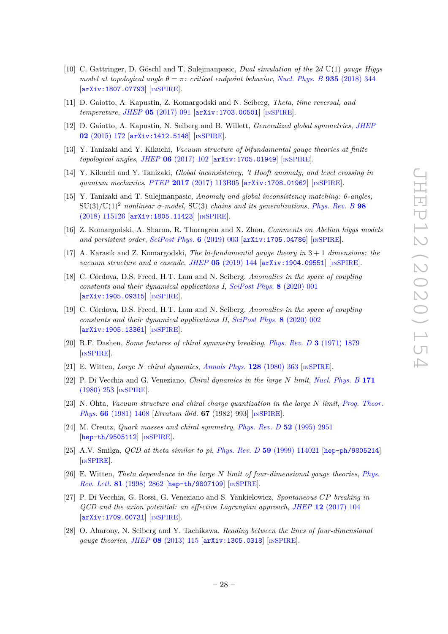- <span id="page-28-0"></span>[10] C. Gattringer, D. Göschl and T. Sulejmanpasic, *Dual simulation of the* 2*d* U(1) *gauge Higgs model at topological angle*  $\theta = \pi$ *: critical endpoint behavior, [Nucl. Phys. B](https://doi.org/10.1016/j.nuclphysb.2018.08.017)* 935 (2018) 344 [[arXiv:1807.07793](https://arxiv.org/abs/1807.07793)] [IN[SPIRE](https://inspirehep.net/search?p=find+EPRINT%2BarXiv%3A1807.07793)].
- <span id="page-28-1"></span>[11] D. Gaiotto, A. Kapustin, Z. Komargodski and N. Seiberg, *Theta, time reversal, and temperature*, *JHEP* **05** [\(2017\) 091](https://doi.org/10.1007/JHEP05(2017)091) [[arXiv:1703.00501](https://arxiv.org/abs/1703.00501)] [IN[SPIRE](https://inspirehep.net/search?p=find+EPRINT%2BarXiv%3A1703.00501)].
- <span id="page-28-2"></span>[12] D. Gaiotto, A. Kapustin, N. Seiberg and B. Willett, *Generalized global symmetries*, *[JHEP](https://doi.org/10.1007/JHEP02(2015)172)* **02** [\(2015\) 172](https://doi.org/10.1007/JHEP02(2015)172) [[arXiv:1412.5148](https://arxiv.org/abs/1412.5148)] [IN[SPIRE](https://inspirehep.net/search?p=find+EPRINT%2BarXiv%3A1412.5148)].
- <span id="page-28-3"></span>[13] Y. Tanizaki and Y. Kikuchi, *Vacuum structure of bifundamental gauge theories at finite topological angles*, *JHEP* **06** [\(2017\) 102](https://doi.org/10.1007/JHEP06(2017)102) [[arXiv:1705.01949](https://arxiv.org/abs/1705.01949)] [IN[SPIRE](https://inspirehep.net/search?p=find+EPRINT%2BarXiv%3A1705.01949)].
- <span id="page-28-9"></span>[14] Y. Kikuchi and Y. Tanizaki, *Global inconsistency, 't Hooft anomaly, and level crossing in quantum mechanics*, *PTEP* **2017** [\(2017\) 113B05](https://doi.org/10.1093/ptep/ptx148) [[arXiv:1708.01962](https://arxiv.org/abs/1708.01962)] [IN[SPIRE](https://inspirehep.net/search?p=find+EPRINT%2BarXiv%3A1708.01962)].
- [15] Y. Tanizaki and T. Sulejmanpasic, *Anomaly and global inconsistency matching: θ-angles,*  $SU(3)/U(1)^2$  *nonlinear*  $\sigma$ -model,  $SU(3)$  *chains and its generalizations*, *[Phys. Rev. B](https://doi.org/10.1103/PhysRevB.98.115126)* 98 [\(2018\) 115126](https://doi.org/10.1103/PhysRevB.98.115126) [[arXiv:1805.11423](https://arxiv.org/abs/1805.11423)] [IN[SPIRE](https://inspirehep.net/search?p=find+EPRINT%2BarXiv%3A1805.11423)].
- <span id="page-28-10"></span>[16] Z. Komargodski, A. Sharon, R. Thorngren and X. Zhou, *Comments on Abelian higgs models and persistent order*, *[SciPost Phys.](https://doi.org/10.21468/SciPostPhys.6.1.003)* **6** (2019) 003 [[arXiv:1705.04786](https://arxiv.org/abs/1705.04786)] [IN[SPIRE](https://inspirehep.net/search?p=find+EPRINT%2BarXiv%3A1705.04786)].
- <span id="page-28-11"></span>[17] A. Karasik and Z. Komargodski, *The bi-fundamental gauge theory in* 3 + 1 *dimensions: the vacuum structure and a cascade*, *JHEP* **05** [\(2019\) 144](https://doi.org/10.1007/JHEP05(2019)144) [[arXiv:1904.09551](https://arxiv.org/abs/1904.09551)] [IN[SPIRE](https://inspirehep.net/search?p=find+EPRINT%2BarXiv%3A1904.09551)].
- [18] C. Córdova, D.S. Freed, H.T. Lam and N. Seiberg, *Anomalies in the space of coupling constants and their dynamical applications I*, *[SciPost Phys.](https://doi.org/10.21468/SciPostPhys.8.1.001)* **8** (2020) 001 [[arXiv:1905.09315](https://arxiv.org/abs/1905.09315)] [IN[SPIRE](https://inspirehep.net/search?p=find+EPRINT%2BarXiv%3A1905.09315)].
- <span id="page-28-4"></span>[19] C. Córdova, D.S. Freed, H.T. Lam and N. Seiberg, *Anomalies in the space of coupling constants and their dynamical applications II*, *[SciPost Phys.](https://doi.org/10.21468/SciPostPhys.8.1.002)* **8** (2020) 002 [[arXiv:1905.13361](https://arxiv.org/abs/1905.13361)] [IN[SPIRE](https://inspirehep.net/search?p=find+EPRINT%2BarXiv%3A1905.13361)].
- <span id="page-28-5"></span>[20] R.F. Dashen, *Some features of chiral symmetry breaking*, *[Phys. Rev. D](https://doi.org/10.1103/PhysRevD.3.1879)* **3** (1971) 1879 [IN[SPIRE](https://inspirehep.net/search?p=find+J%20%22Phys.Rev.%2CD3%2C1879%22)].
- <span id="page-28-8"></span>[21] E. Witten, *Large N chiral dynamics*, *[Annals Phys.](https://doi.org/10.1016/0003-4916(80)90325-5)* **128** (1980) 363 [IN[SPIRE](https://inspirehep.net/search?p=find+J%20%22Annals%20Phys.%2C128%2C363%22)].
- [22] P. Di Vecchia and G. Veneziano, *Chiral dynamics in the large N limit*, *[Nucl. Phys. B](https://doi.org/10.1016/0550-3213(80)90370-3)* **171** [\(1980\) 253](https://doi.org/10.1016/0550-3213(80)90370-3) [IN[SPIRE](https://inspirehep.net/search?p=find+J%20%22Nucl.Phys.%2CB171%2C253%22)].
- [23] N. Ohta, *Vacuum structure and chiral charge quantization in the large N limit*, *[Prog. Theor.](https://doi.org/10.1143/PTP.66.1408) Phys.* **66** [\(1981\) 1408](https://doi.org/10.1143/PTP.66.1408) [*Erratum ibid.* **67** (1982) 993] [IN[SPIRE](https://inspirehep.net/search?p=find+J%20%22Prog.Theor.Phys.%2C66%2C1408%22)].
- [24] M. Creutz, *Quark masses and chiral symmetry*, *[Phys. Rev. D](https://doi.org/10.1103/PhysRevD.52.2951)* **52** (1995) 2951 [[hep-th/9505112](https://arxiv.org/abs/hep-th/9505112)] [IN[SPIRE](https://inspirehep.net/search?p=find+EPRINT%2Bhep-th%2F9505112)].
- [25] A.V. Smilga, *QCD at theta similar to pi*, *Phys. Rev. D* **59** [\(1999\) 114021](https://doi.org/10.1103/PhysRevD.59.114021) [[hep-ph/9805214](https://arxiv.org/abs/hep-ph/9805214)] [IN[SPIRE](https://inspirehep.net/search?p=find+EPRINT%2Bhep-ph%2F9805214)].
- <span id="page-28-12"></span>[26] E. Witten, *Theta dependence in the large N limit of four-dimensional gauge theories*, *[Phys.](https://doi.org/10.1103/PhysRevLett.81.2862) Rev. Lett.* **81** [\(1998\) 2862](https://doi.org/10.1103/PhysRevLett.81.2862) [[hep-th/9807109](https://arxiv.org/abs/hep-th/9807109)] [IN[SPIRE](https://inspirehep.net/search?p=find+EPRINT%2Bhep-th%2F9807109)].
- <span id="page-28-6"></span>[27] P. Di Vecchia, G. Rossi, G. Veneziano and S. Yankielowicz, *Spontaneous CP breaking in QCD and the axion potential: an effective Lagrangian approach*, *JHEP* **12** [\(2017\) 104](https://doi.org/10.1007/JHEP12(2017)104) [[arXiv:1709.00731](https://arxiv.org/abs/1709.00731)] [IN[SPIRE](https://inspirehep.net/search?p=find+EPRINT%2BarXiv%3A1709.00731)].
- <span id="page-28-7"></span>[28] O. Aharony, N. Seiberg and Y. Tachikawa, *Reading between the lines of four-dimensional gauge theories*, *JHEP* **08** [\(2013\) 115](https://doi.org/10.1007/JHEP08(2013)115) [[arXiv:1305.0318](https://arxiv.org/abs/1305.0318)] [IN[SPIRE](https://inspirehep.net/search?p=find+EPRINT%2BarXiv%3A1305.0318)].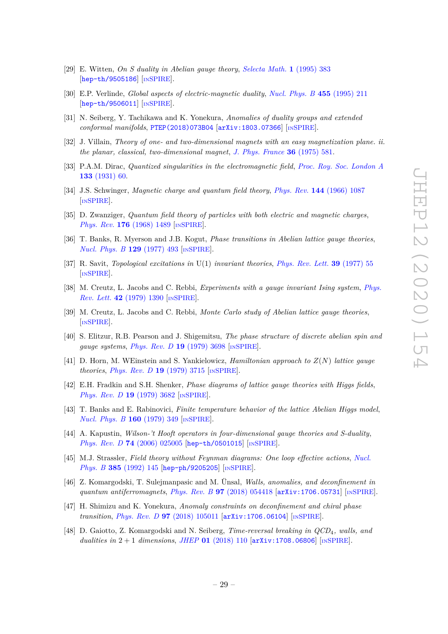- <span id="page-29-0"></span>[29] E. Witten, *On S duality in Abelian gauge theory*, *[Selecta Math.](https://doi.org/10.1007/BF01671570)* **1** (1995) 383 [[hep-th/9505186](https://arxiv.org/abs/hep-th/9505186)] [IN[SPIRE](https://inspirehep.net/search?p=find+EPRINT%2Bhep-th%2F9505186)].
- <span id="page-29-1"></span>[30] E.P. Verlinde, *Global aspects of electric-magnetic duality*, *[Nucl. Phys. B](https://doi.org/10.1016/0550-3213(95)00431-Q)* **455** (1995) 211 [[hep-th/9506011](https://arxiv.org/abs/hep-th/9506011)] [IN[SPIRE](https://inspirehep.net/search?p=find+EPRINT%2Bhep-th%2F9506011)].
- <span id="page-29-2"></span>[31] N. Seiberg, Y. Tachikawa and K. Yonekura, *Anomalies of duality groups and extended conformal manifolds*, [PTEP\(2018\)073B04](https://doi.org/10.1093/ptep/pty069) [[arXiv:1803.07366](https://arxiv.org/abs/1803.07366)] [IN[SPIRE](https://inspirehep.net/search?p=find+EPRINT%2BarXiv%3A1803.07366)].
- <span id="page-29-3"></span>[32] J. Villain, *Theory of one- and two-dimensional magnets with an easy magnetization plane. ii. the planar, classical, two-dimensional magnet*, *[J. Phys. France](http://dx.doi.org/10.1051/jphys:01975003606058100)* **36** (1975) 581.
- <span id="page-29-4"></span>[33] P.A.M. Dirac, *Quantized singularities in the electromagnetic field*, *[Proc. Roy. Soc. London A](http://dx.doi.org/10.1098/rspa.1931.0130)* **133** [\(1931\) 60.](http://dx.doi.org/10.1098/rspa.1931.0130)
- [34] J.S. Schwinger, *Magnetic charge and quantum field theory*, *Phys. Rev.* **144** [\(1966\) 1087](https://doi.org/10.1103/PhysRev.144.1087) [IN[SPIRE](https://inspirehep.net/search?p=find+J%20%22Phys.Rev.%2C144%2C1087%22)].
- <span id="page-29-5"></span>[35] D. Zwanziger, *Quantum field theory of particles with both electric and magnetic charges*, *Phys. Rev.* **176** [\(1968\) 1489](https://doi.org/10.1103/PhysRev.176.1489) [IN[SPIRE](https://inspirehep.net/search?p=find+J%20%22Phys.Rev.%2C176%2C1489%22)].
- <span id="page-29-6"></span>[36] T. Banks, R. Myerson and J.B. Kogut, *Phase transitions in Abelian lattice gauge theories*, *[Nucl. Phys. B](https://doi.org/10.1016/0550-3213(77)90129-8)* **129** (1977) 493 [IN[SPIRE](https://inspirehep.net/search?p=find+J%20%22Nucl.Phys.%2CB129%2C493%22)].
- <span id="page-29-7"></span>[37] R. Savit, *Topological excitations in* U(1) *invariant theories*, *[Phys. Rev. Lett.](https://doi.org/10.1103/PhysRevLett.39.55)* **39** (1977) 55 [IN[SPIRE](https://inspirehep.net/search?p=find+J%20%22Phys.Rev.Lett.%2C39%2C55%22)].
- <span id="page-29-8"></span>[38] M. Creutz, L. Jacobs and C. Rebbi, *Experiments with a gauge invariant Ising system*, *[Phys.](https://doi.org/10.1103/PhysRevLett.42.1390) Rev. Lett.* **42** [\(1979\) 1390](https://doi.org/10.1103/PhysRevLett.42.1390) [IN[SPIRE](https://inspirehep.net/search?p=find+J%20%22Phys.Rev.Lett.%2C42%2C1390%22)].
- <span id="page-29-9"></span>[39] M. Creutz, L. Jacobs and C. Rebbi, *Monte Carlo study of Abelian lattice gauge theories*, [IN[SPIRE](https://inspirehep.net/search?p=find+J%20%22Phys.Rev.%2CD20%2C1915%22)].
- <span id="page-29-10"></span>[40] S. Elitzur, R.B. Pearson and J. Shigemitsu, *The phase structure of discrete abelian spin and gauge systems*, *[Phys. Rev. D](https://doi.org/10.1103/PhysRevD.19.3698)* **19** (1979) 3698 [IN[SPIRE](https://inspirehep.net/search?p=find+J%20%22Phys.Rev.%2CD19%2C3698%22)].
- <span id="page-29-11"></span>[41] D. Horn, M. WEinstein and S. Yankielowicz, *Hamiltonian approach to Z*(*N*) *lattice gauge theories*, *[Phys. Rev. D](https://doi.org/10.1103/PhysRevD.19.3715)* **19** (1979) 3715 [IN[SPIRE](https://inspirehep.net/search?p=find+J%20%22Phys.Rev.%2CD19%2C3715%22)].
- <span id="page-29-12"></span>[42] E.H. Fradkin and S.H. Shenker, *Phase diagrams of lattice gauge theories with Higgs fields*, *[Phys. Rev. D](https://doi.org/10.1103/PhysRevD.19.3682)* **19** (1979) 3682 [IN[SPIRE](https://inspirehep.net/search?p=find+J%20%22Phys.Rev.%2CD19%2C3682%22)].
- <span id="page-29-13"></span>[43] T. Banks and E. Rabinovici, *Finite temperature behavior of the lattice Abelian Higgs model*, *[Nucl. Phys. B](https://doi.org/10.1016/0550-3213(79)90064-6)* **160** (1979) 349 [IN[SPIRE](https://inspirehep.net/search?p=find+J%20%22Nucl.Phys.%2CB160%2C349%22)].
- <span id="page-29-14"></span>[44] A. Kapustin, *Wilson-'t Hooft operators in four-dimensional gauge theories and S-duality*, *Phys. Rev. D* **74** [\(2006\) 025005](https://doi.org/10.1103/PhysRevD.74.025005) [[hep-th/0501015](https://arxiv.org/abs/hep-th/0501015)] [IN[SPIRE](https://inspirehep.net/search?p=find+EPRINT%2Bhep-th%2F0501015)].
- <span id="page-29-15"></span>[45] M.J. Strassler, *Field theory without Feynman diagrams: One loop effective actions*, *[Nucl.](https://doi.org/10.1016/0550-3213(92)90098-V) Phys. B* **385** [\(1992\) 145](https://doi.org/10.1016/0550-3213(92)90098-V) [[hep-ph/9205205](https://arxiv.org/abs/hep-ph/9205205)] [IN[SPIRE](https://inspirehep.net/search?p=find+EPRINT%2Bhep-ph%2F9205205)].
- <span id="page-29-16"></span>[46] Z. Komargodski, T. Sulejmanpasic and M. Ünsal, *Walls, anomalies, and deconfinement in quantum antiferromagnets*, *Phys. Rev. B* **97** [\(2018\) 054418](https://doi.org/10.1103/PhysRevB.97.054418) [[arXiv:1706.05731](https://arxiv.org/abs/1706.05731)] [IN[SPIRE](https://inspirehep.net/search?p=find+EPRINT%2BarXiv%3A1706.05731)].
- [47] H. Shimizu and K. Yonekura, *Anomaly constraints on deconfinement and chiral phase transition, Phys. Rev. D* 97 [\(2018\) 105011](https://doi.org/10.1103/PhysRevD.97.105011) [[arXiv:1706.06104](https://arxiv.org/abs/1706.06104)] [IN[SPIRE](https://inspirehep.net/search?p=find+EPRINT%2BarXiv%3A1706.06104)].
- [48] D. Gaiotto, Z. Komargodski and N. Seiberg, *Time-reversal breaking in QCD*4*, walls, and dualities in* 2 + 1 *dimensions*, *JHEP* **01** [\(2018\) 110](https://doi.org/10.1007/JHEP01(2018)110) [[arXiv:1708.06806](https://arxiv.org/abs/1708.06806)] [IN[SPIRE](https://inspirehep.net/search?p=find+EPRINT%2BarXiv%3A1708.06806)].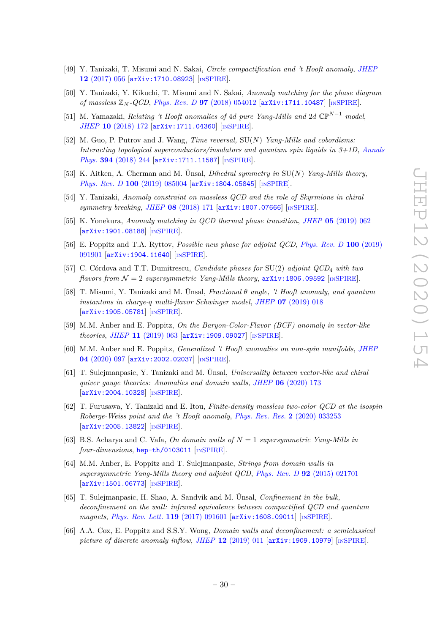- [49] Y. Tanizaki, T. Misumi and N. Sakai, *Circle compactification and 't Hooft anomaly*, *[JHEP](https://doi.org/10.1007/JHEP12(2017)056)* **12** [\(2017\) 056](https://doi.org/10.1007/JHEP12(2017)056) [[arXiv:1710.08923](https://arxiv.org/abs/1710.08923)] [IN[SPIRE](https://inspirehep.net/search?p=find+EPRINT%2BarXiv%3A1710.08923)].
- [50] Y. Tanizaki, Y. Kikuchi, T. Misumi and N. Sakai, *Anomaly matching for the phase diagram of massless* Z*<sup>N</sup> -QCD*, *Phys. Rev. D* **97** [\(2018\) 054012](https://doi.org/10.1103/PhysRevD.97.054012) [[arXiv:1711.10487](https://arxiv.org/abs/1711.10487)] [IN[SPIRE](https://inspirehep.net/search?p=find+EPRINT%2BarXiv%3A1711.10487)].
- [51] M. Yamazaki, *Relating 't Hooft anomalies of* 4*d pure Yang-Mills and* 2*d* CP*N*−<sup>1</sup> *model*, *JHEP* **10** [\(2018\) 172](https://doi.org/10.1007/JHEP10(2018)172) [[arXiv:1711.04360](https://arxiv.org/abs/1711.04360)] [IN[SPIRE](https://inspirehep.net/search?p=find+EPRINT%2BarXiv%3A1711.04360)].
- [52] M. Guo, P. Putrov and J. Wang, *Time reversal,* SU(*N*) *Yang-Mills and cobordisms: Interacting topological superconductors/insulators and quantum spin liquids in 3+1D*, *[Annals](https://doi.org/10.1016/j.aop.2018.04.025) Phys.* **394** [\(2018\) 244](https://doi.org/10.1016/j.aop.2018.04.025) [[arXiv:1711.11587](https://arxiv.org/abs/1711.11587)] [IN[SPIRE](https://inspirehep.net/search?p=find+EPRINT%2BarXiv%3A1711.11587)].
- [53] K. Aitken, A. Cherman and M. Ünsal, *Dihedral symmetry in* SU(*N*) *Yang-Mills theory*, *Phys. Rev. D* **100** [\(2019\) 085004](https://doi.org/10.1103/PhysRevD.100.085004) [[arXiv:1804.05845](https://arxiv.org/abs/1804.05845)] [IN[SPIRE](https://inspirehep.net/search?p=find+EPRINT%2BarXiv%3A1804.05845)].
- [54] Y. Tanizaki, *Anomaly constraint on massless QCD and the role of Skyrmions in chiral symmetry breaking*, *JHEP* **08** [\(2018\) 171](https://doi.org/10.1007/JHEP08(2018)171) [[arXiv:1807.07666](https://arxiv.org/abs/1807.07666)] [IN[SPIRE](https://inspirehep.net/search?p=find+EPRINT%2BarXiv%3A1807.07666)].
- [55] K. Yonekura, *Anomaly matching in QCD thermal phase transition*, *JHEP* **05** [\(2019\) 062](https://doi.org/10.1007/JHEP05(2019)062) [[arXiv:1901.08188](https://arxiv.org/abs/1901.08188)] [IN[SPIRE](https://inspirehep.net/search?p=find+EPRINT%2BarXiv%3A1901.08188)].
- [56] E. Poppitz and T.A. Ryttov, *Possible new phase for adjoint QCD*, *[Phys. Rev. D](https://doi.org/10.1103/PhysRevD.100.091901)* **100** (2019) [091901](https://doi.org/10.1103/PhysRevD.100.091901) [[arXiv:1904.11640](https://arxiv.org/abs/1904.11640)] [IN[SPIRE](https://inspirehep.net/search?p=find+EPRINT%2BarXiv%3A1904.11640)].
- [57] C. Córdova and T.T. Dumitrescu, *Candidate phases for* SU(2) *adjoint QCD*<sup>4</sup> *with two flavors from*  $\mathcal{N} = 2$  *supersymmetric Yang-Mills theory*,  $\ar{xiv:1806.09592}$  [IN[SPIRE](https://inspirehep.net/search?p=find+EPRINT%2BarXiv%3A1806.09592)].
- [58] T. Misumi, Y. Tanizaki and M. Ünsal, *Fractional θ angle, 't Hooft anomaly, and quantum instantons in charge-q multi-flavor Schwinger model*, *JHEP* **07** [\(2019\) 018](https://doi.org/10.1007/JHEP07(2019)018) [[arXiv:1905.05781](https://arxiv.org/abs/1905.05781)] [IN[SPIRE](https://inspirehep.net/search?p=find+EPRINT%2BarXiv%3A1905.05781)].
- [59] M.M. Anber and E. Poppitz, *On the Baryon-Color-Flavor (BCF) anomaly in vector-like theories*, *JHEP* **11** [\(2019\) 063](https://doi.org/10.1007/JHEP11(2019)063) [[arXiv:1909.09027](https://arxiv.org/abs/1909.09027)] [IN[SPIRE](https://inspirehep.net/search?p=find+EPRINT%2BarXiv%3A1909.09027)].
- [60] M.M. Anber and E. Poppitz, *Generalized 't Hooft anomalies on non-spin manifolds*, *[JHEP](https://doi.org/10.1007/JHEP04(2020)097)* **04** [\(2020\) 097](https://doi.org/10.1007/JHEP04(2020)097) [[arXiv:2002.02037](https://arxiv.org/abs/2002.02037)] [IN[SPIRE](https://inspirehep.net/search?p=find+EPRINT%2BarXiv%3A2002.02037)].
- [61] T. Sulejmanpasic, Y. Tanizaki and M. Ünsal, *Universality between vector-like and chiral quiver gauge theories: Anomalies and domain walls*, *JHEP* **06** [\(2020\) 173](https://doi.org/10.1007/JHEP06(2020)173) [[arXiv:2004.10328](https://arxiv.org/abs/2004.10328)] [IN[SPIRE](https://inspirehep.net/search?p=find+EPRINT%2BarXiv%3A2004.10328)].
- <span id="page-30-0"></span>[62] T. Furusawa, Y. Tanizaki and E. Itou, *Finite-density massless two-color QCD at the isospin Roberge-Weiss point and the 't Hooft anomaly*, *[Phys. Rev. Res.](https://doi.org/10.1103/PhysRevResearch.2.033253)* **2** (2020) 033253 [[arXiv:2005.13822](https://arxiv.org/abs/2005.13822)] [IN[SPIRE](https://inspirehep.net/search?p=find+EPRINT%2BarXiv%3A2005.13822)].
- <span id="page-30-1"></span>[63] B.S. Acharya and C. Vafa, *On domain walls of N* = 1 *supersymmetric Yang-Mills in four-dimensions*, [hep-th/0103011](https://arxiv.org/abs/hep-th/0103011) [IN[SPIRE](https://inspirehep.net/search?p=find+EPRINT%2Bhep-th%2F0103011)].
- [64] M.M. Anber, E. Poppitz and T. Sulejmanpasic, *Strings from domain walls in supersymmetric Yang-Mills theory and adjoint QCD*, *Phys. Rev. D* **92** [\(2015\) 021701](https://doi.org/10.1103/PhysRevD.92.021701) [[arXiv:1501.06773](https://arxiv.org/abs/1501.06773)] [IN[SPIRE](https://inspirehep.net/search?p=find+EPRINT%2BarXiv%3A1501.06773)].
- [65] T. Sulejmanpasic, H. Shao, A. Sandvik and M. Ünsal, *Confinement in the bulk, deconfinement on the wall: infrared equivalence between compactified QCD and quantum magnets*, *[Phys. Rev. Lett.](https://doi.org/10.1103/PhysRevLett.119.091601)* **119** (2017) 091601 [[arXiv:1608.09011](https://arxiv.org/abs/1608.09011)] [IN[SPIRE](https://inspirehep.net/search?p=find+EPRINT%2BarXiv%3A1608.09011)].
- <span id="page-30-2"></span>[66] A.A. Cox, E. Poppitz and S.S.Y. Wong, *Domain walls and deconfinement: a semiclassical picture of discrete anomaly inflow*, *JHEP* **12** [\(2019\) 011](https://doi.org/10.1007/JHEP12(2019)011) [[arXiv:1909.10979](https://arxiv.org/abs/1909.10979)] [IN[SPIRE](https://inspirehep.net/search?p=find+EPRINT%2BarXiv%3A1909.10979)].